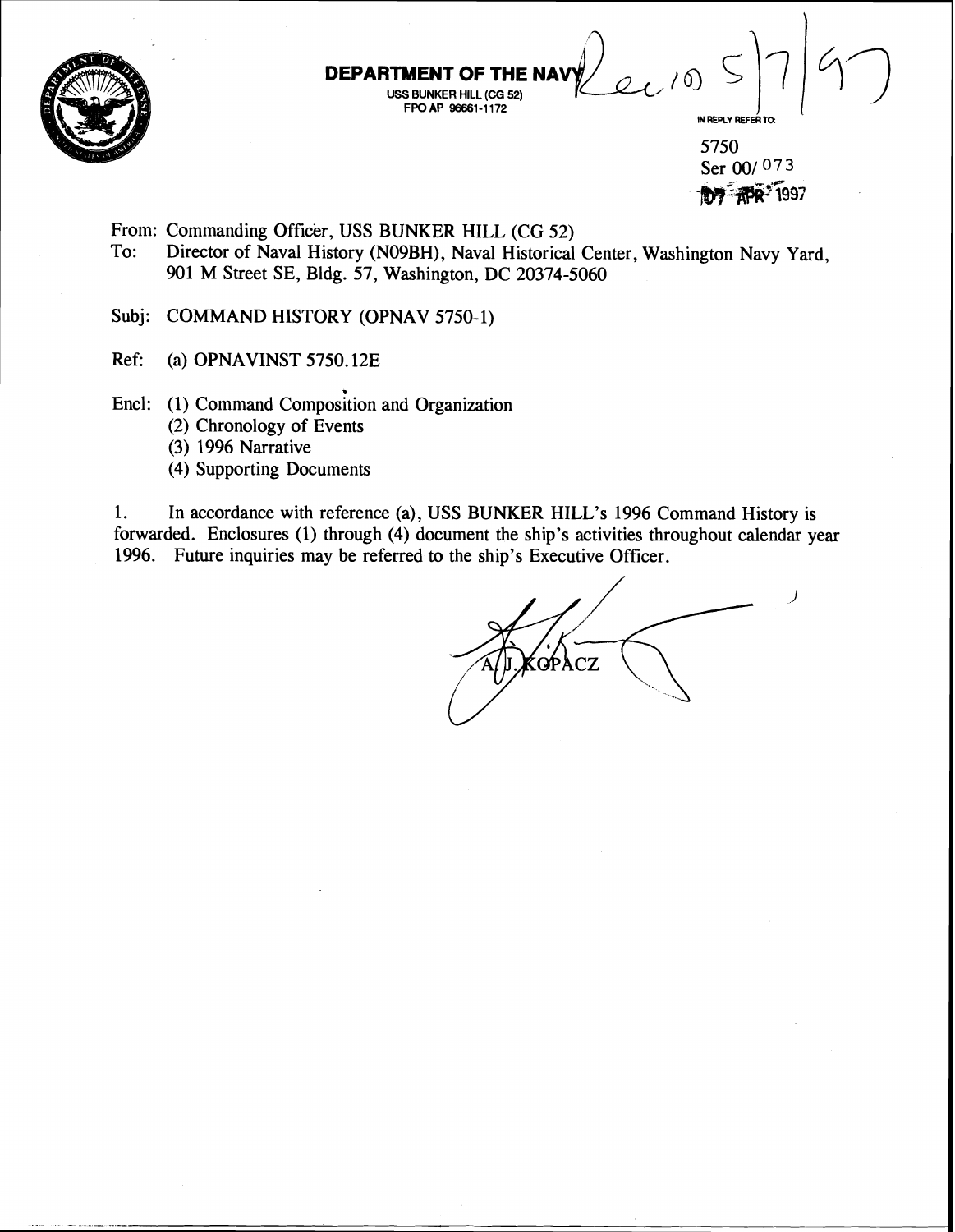

\ **DEPAR USS BUNKER HILL (CG 52) FROAP 96661-1172**<br> **FPOAP 96661-1172**<br>
FPOAP 96661-1172<br>  $5750$ 

5750 Ser **001** 073 **MW** *R***PR<sup>+</sup>1997** 

- From: Commanding Officer, USS BUNKER HILL (CG 52)<br>To: Director of Naval History (N09BH), Naval Historical
	- Director of Naval History (N09BH), Naval Historical Center, Washington Navy Yard, 901 M Street SE, Bldg. 57, Washington, DC 20374-5060
- Subj: COMMAND HISTORY (OPNAV 5750-1)
- Ref: (a) OPNAVINST 5750.12E
- Encl: (1) Command Composition and Organization
	- (2) Chronology of Events
	- (3) 1996 Narrative
	- (4) Supporting Documents

1. In accordance with reference (a), USS BUNKER HILL'S 1996 Command History is forwarded. Enclosures (1) through (4) document the ship's activities throughout calendar year 1996. Future inquiries may be referred to the ship's Executive Officer.

QPA  $CZ$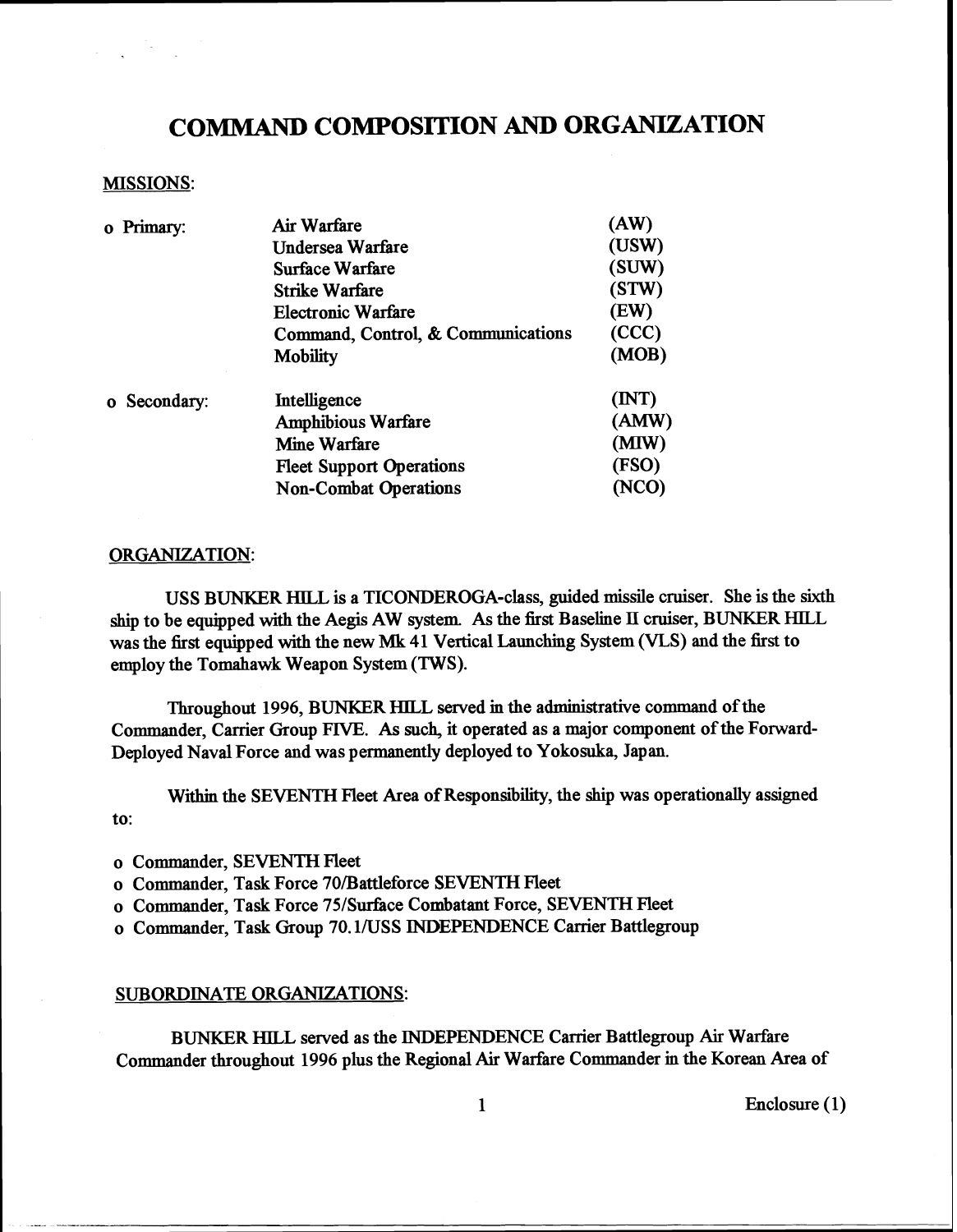## **COMMAND COMPOSITION AND ORGANIZATION**

#### MISSIONS:

| o Primary:   | Air Warfare                        | (AW)  |
|--------------|------------------------------------|-------|
|              | <b>Undersea Warfare</b>            | (USW) |
|              | <b>Surface Warfare</b>             | (SUW) |
|              | <b>Strike Warfare</b>              | (STW) |
|              | <b>Electronic Warfare</b>          | (EW)  |
|              | Command, Control, & Communications | (CCC) |
|              | <b>Mobility</b>                    | (MOB) |
| o Secondary: | Intelligence                       | (INT) |
|              | <b>Amphibious Warfare</b>          | (AMW) |
|              | <b>Mine Warfare</b>                | (MIW) |
|              | <b>Fleet Support Operations</b>    | (FSO) |
|              | <b>Non-Combat Operations</b>       | (NCO) |
|              |                                    |       |

#### ORGANIZATION:

USS BUNKER **HILL** is a TICONDEROGA-class, guided missile cruiser. She is the sixth ship to be equipped with the Aegis AW system As the first Baseline **II** cruiser, BUNKER **HILL**  was the first equipped with the new **Mk** 41 Vertical Launching System (VLS) and the first to employ the Tomahawk Weapon System (TWS).

Throughout 1996, BUNKER HILL served in the administrative command of the Commander, Carrier Group FIVE. As such, it operated as a major component of the Forward-Deployed Naval Force and was permanently deployed to Yokosuka, Japan.

Within the SEVENTH Fleet Area of Responsibility, the ship was operationally assigned to:

o Commander, SEVENTH Fleet

o Commander, Task Force 70/Battleforce SEVENTH Fleet

o Commander, Task Force 75/Surface Combatant Force, SEVENTH Fleet

o Commander, Task Group 70.1/USS INDEPENDENCE Carrier Battlegroup

#### SUBORDINATE ORGANIZATIONS:

BUNKER **HlLL** served as the INDEPENDENCE Carrier Battlegroup Air Warfare Commander throughout 1996 plus the Regional Air Warfare Commander in the Korean Area of

1 Enclosure (1)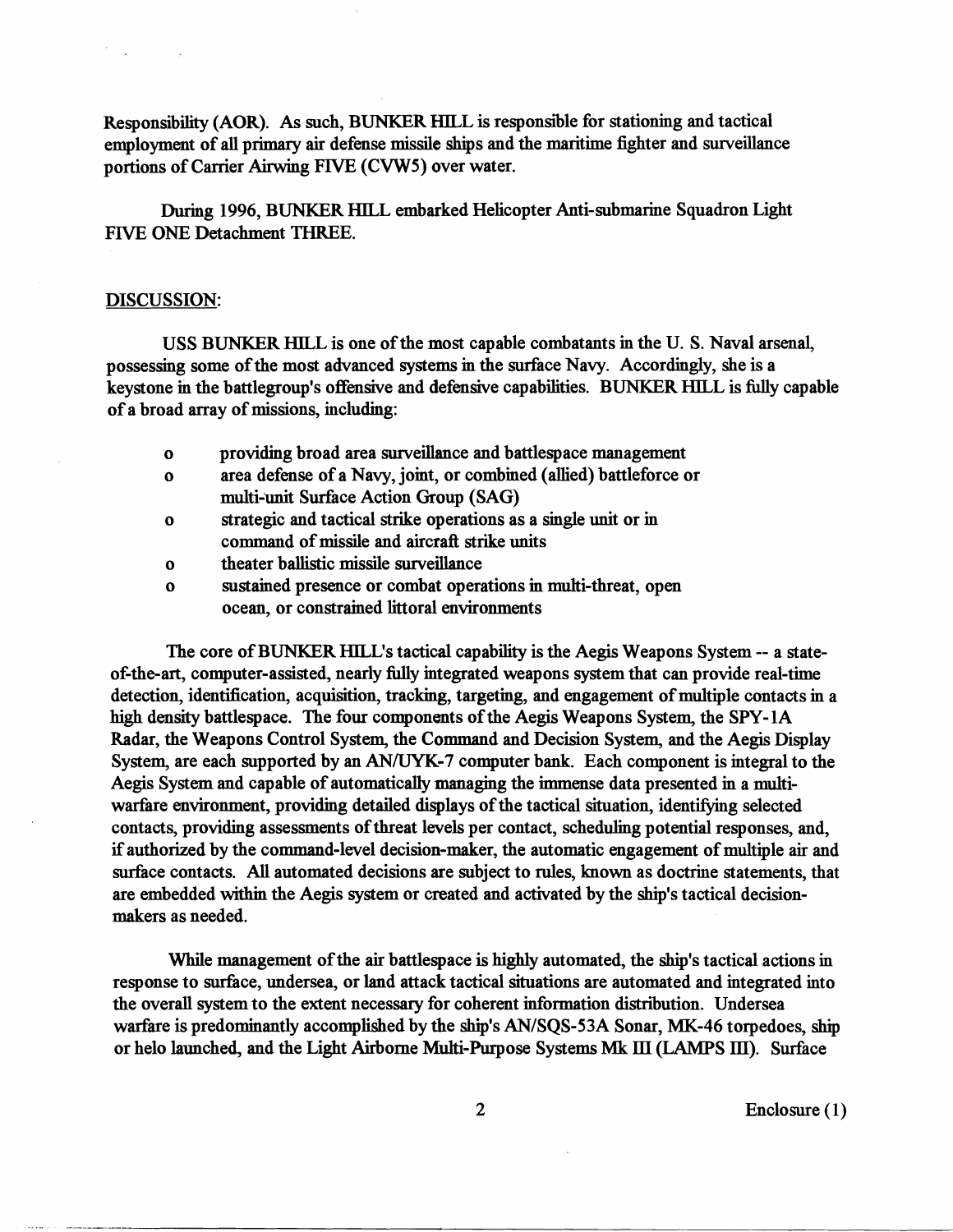Responsibility (AOR). As such, BUNKER HILL is responsible for stationing and tactical employment of all primary air defense missile ships and the maritime fighter and surveillance portions of Carrier Airwing FIVE (CVWS) over water.

During 1996, BUNKER HILL embarked Helicopter Anti-submarine Squadron Light FIVE ONE Detachment THREE.

#### DISCUSSION:

USS BUNKER **HILL** is one of the most capable combatants in the U. S. Naval arsenal, possessing some of the most advanced systems in the surface Navy. Accordingly, she is a keystone in the battlegroup's offensive and defensive capabilities. BUNKER HILL is fully capable of a broad array of missions, including:

- o providing broad area surveillance and battlespace management
- o area defense of a Navy, joint, or combined (allied) battleforce or multi-unit Surface Action Group (SAG)
- o strategic and tactical strike operations as a single unit or in command of missile and aircraft strike units
- o theater ballistic missile surveillance
- o sustained presence or combat operations in multi-threat, open ocean, or constrained littoral environments

The core of BUNKER HILL'S tactical capability is the Aegis Weapons System -- a stateof-the-art, computer-assisted, nearly fully integrated weapons system that can provide real-time detection, identification, acquisition, tracking, targeting, and engagement of multiple contacts in a high density battlespace. The four components of the Aegis Weapons System, the SPY- 1A Radar, the Weapons Control System, the Command and Decision System, and the Aegis Display System, are each supported by an **AN/UYK-7** computer bank. Each component is integral to the Aegis System and capable of automatically managing the immense data presented in a multiwarfare environment, providing detailed displays of the tactical situation, identifying selected contacts, providing assessments of threat levels per contact, scheduling potential responses, and, if authorized by the command-level decision-maker, the automatic engagement of multiple air and surface contacts. All automated decisions are subject to rules, known as doctrine statements, that are embedded within the Aegis system or created and activated by the ship's tactical decisionmakers as needed.

While management of the air battlespace is **highly** automated, the ship's tactical actions in response to surfice, undersea, or land attack tactical situations are automated and integrated into the overall system to the extent necessary for coherent information distribution. Undersea warfare is predominantly accomplished by the ship's AN/SQS-53A Sonar, MK-46 torpedoes, ship or helo launched, and the Light Airborne Multi-Purpose Systems **Mk** III (LAMPS III). Surface

2 Enclosure (1)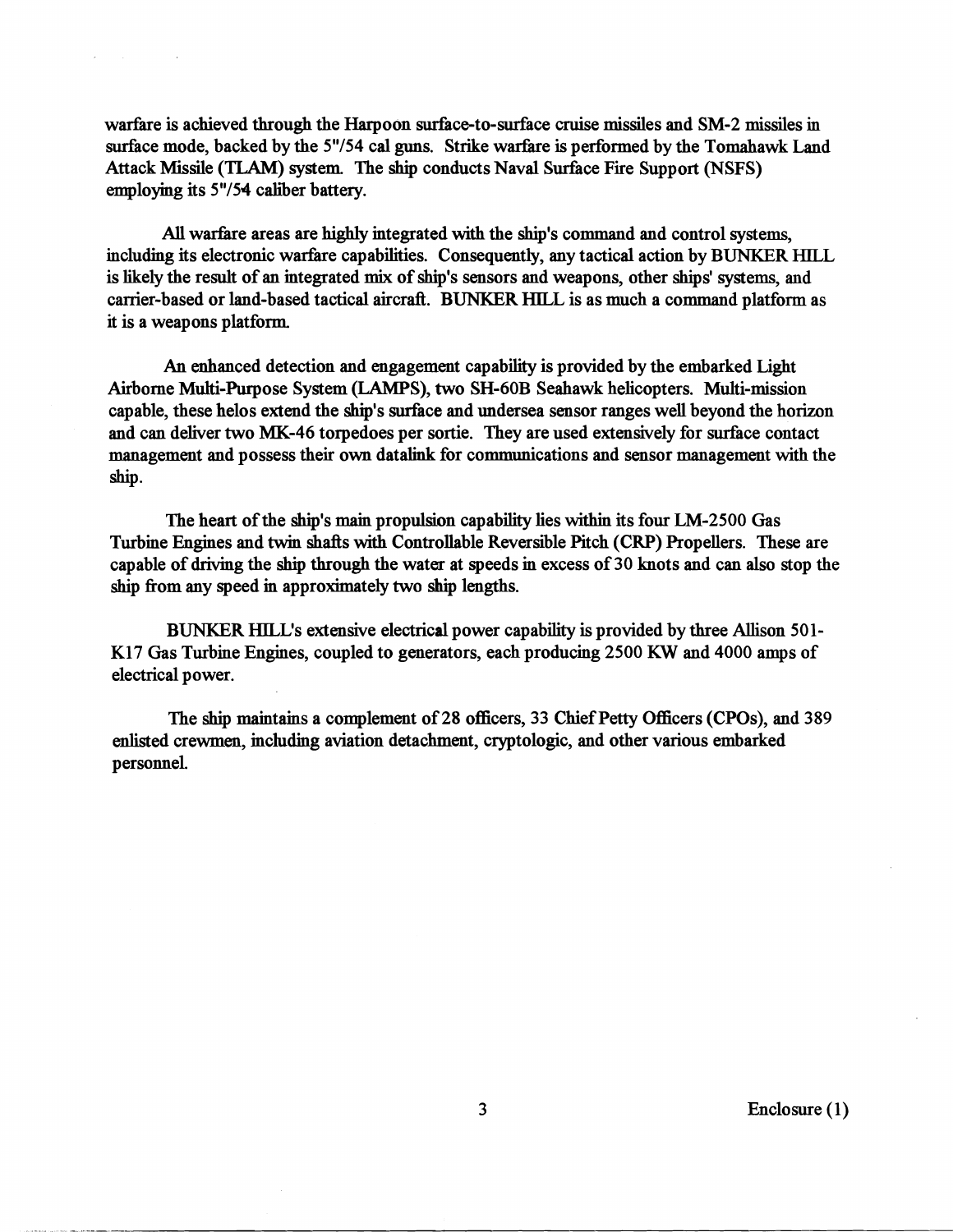warfare is achieved through the Harpoon surface-to-surface cruise missiles and SM-2 missiles in surface mode, backed by the 5"/54 cal guns. Strike warfare is performed by the Tomahawk Land Attack Missile **(TLAM)** system. The ship conducts Naval Surfice Fire Support (NSFS) employing its 5"/54 caliber battery.

 $\mathbf{z}$  , we have a set  $\mathbf{z}$  , where  $\mathbf{z}$ 

All warfare areas are highly integrated with the ship's command and control systems, including its electronic warfare capabilities. Consequently, any tactical action by BUNKER HILL is likely the result of an integrated **mix** of ship's sensors and weapons, other ships' systems, and carrier-based or land-based tactical aircraft. **BUNKER** HILL is as much a command platform as it is a weapons platfom

An enhanced detection and engagement capability is provided by the embarked Light Airborne Multi-Purpose System (LAMPS), two SH-60B Seahawk helicopters. Multi-mission capable, these helos extend the ship's surface and undersea sensor ranges well beyond the horizon and can deliver two MK-46 torpedoes per sortie. They are used extensively for surface contact management and possess their own datalink for communications and sensor management with the ship.

The heart of the ship's main propulsion capability lies within its four LM-2500 Gas Turbine Engines and twin shafts with Controllable Reversible Pitch (CRP) Propellers. These are capable of driving the ship through the water at speeds in excess of 30 knots and can also stop the ship from any speed in approximately two **sbip** lengths.

BUNKER HILL'S extensive electrical power capability is provided by three AUison 501- **IS17** Gas Turbine Engines, coupled to generators, each producing 2500 **KW** and 4000 amps of electrical power.

The ship maintains a complement of 28 officers, 33 Chief Petty oflicers (CPOs), and 389 enlisted crewmen, including aviation detachment, cryptologic, and other various embarked p ersonneL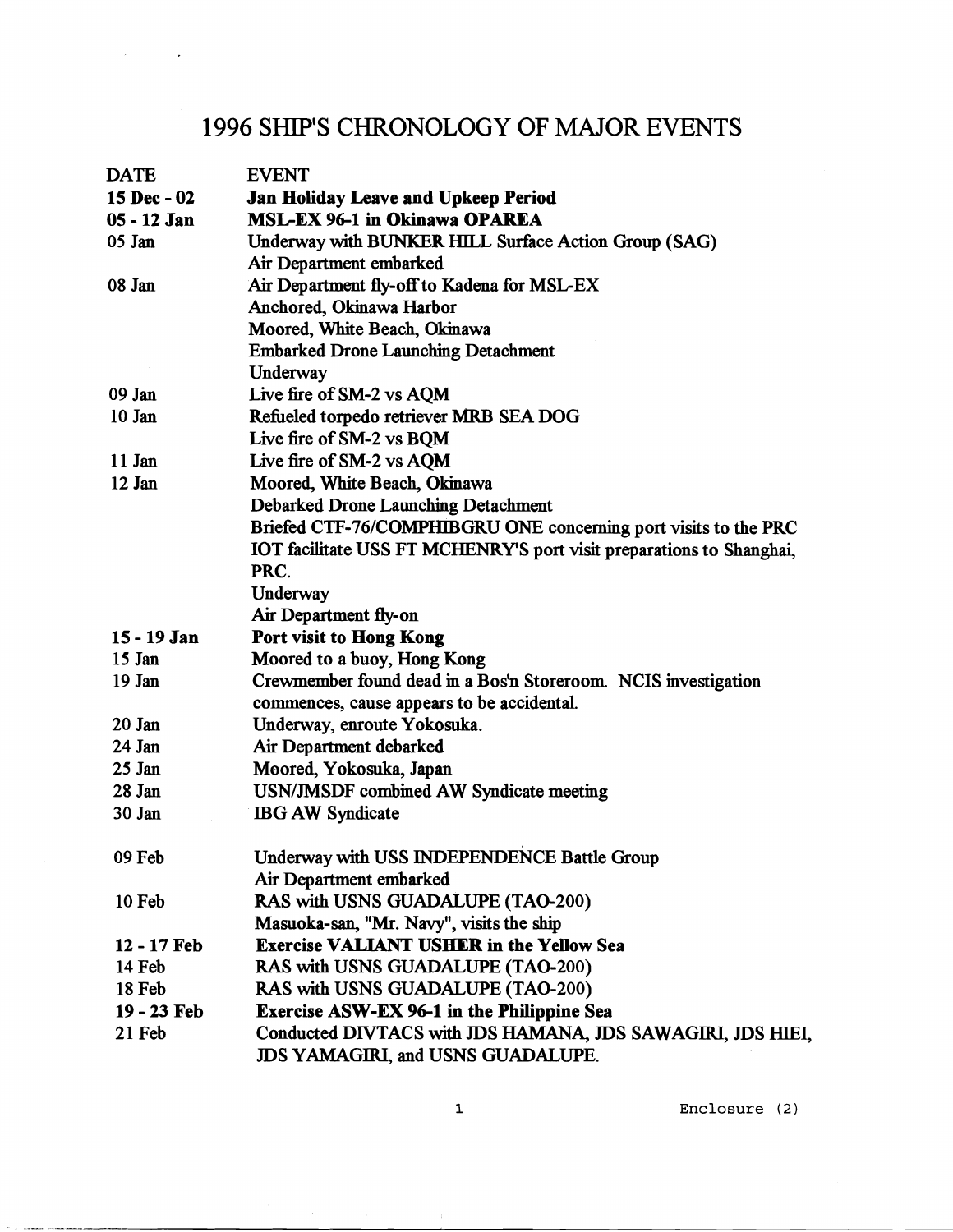# 1996 SHIPS CHRONOLOGY OF MAJOR EVENTS

 $\mathcal{A}^{\text{max}}_{\text{max}}$  and  $\mathcal{A}^{\text{max}}_{\text{max}}$ 

| <b>DATE</b> | <b>EVENT</b>                                                         |
|-------------|----------------------------------------------------------------------|
| 15 Dec - 02 | <b>Jan Holiday Leave and Upkeep Period</b>                           |
| 05 - 12 Jan | <b>MSL-EX 96-1 in Okinawa OPAREA</b>                                 |
| 05 Jan      | Underway with BUNKER HILL Surface Action Group (SAG)                 |
|             | Air Department embarked                                              |
| 08 Jan      | Air Department fly-off to Kadena for MSL-EX                          |
|             | Anchored, Okinawa Harbor                                             |
|             | Moored, White Beach, Okinawa                                         |
|             | <b>Embarked Drone Launching Detachment</b>                           |
|             | Underway                                                             |
| 09 Jan      | Live fire of SM-2 vs AQM                                             |
| $10$ Jan    | Refueled torpedo retriever MRB SEA DOG                               |
|             | Live fire of SM-2 vs BQM                                             |
| 11 Jan      | Live fire of SM-2 vs AQM                                             |
| 12 Jan      | Moored, White Beach, Okinawa                                         |
|             | <b>Debarked Drone Launching Detachment</b>                           |
|             | Briefed CTF-76/COMPHIBGRU ONE concerning port visits to the PRC      |
|             | IOT facilitate USS FT MCHENRY'S port visit preparations to Shanghai, |
|             | PRC.                                                                 |
|             | Underway                                                             |
|             | Air Department fly-on                                                |
| 15 - 19 Jan | Port visit to Hong Kong                                              |
| $15$ Jan    | Moored to a buoy, Hong Kong                                          |
| 19 Jan      | Crewmember found dead in a Bos'n Storeroom. NCIS investigation       |
|             | commences, cause appears to be accidental.                           |
| 20 Jan      | Underway, enroute Yokosuka.                                          |
| 24 Jan      | Air Department debarked                                              |
| $25$ Jan    | Moored, Yokosuka, Japan                                              |
| 28 Jan      | <b>USN/JMSDF</b> combined AW Syndicate meeting                       |
| 30 Jan      | <b>IBG AW Syndicate</b>                                              |
| 09 Feb      | Underway with USS INDEPENDENCE Battle Group                          |
|             | Air Department embarked                                              |
| 10 Feb      | RAS with USNS GUADALUPE (TAO-200)                                    |
|             | Masuoka-san, "Mr. Navy", visits the ship                             |
| 12 - 17 Feb | <b>Exercise VALIANT USHER in the Yellow Sea</b>                      |
| 14 Feb      | RAS with USNS GUADALUPE (TAO-200)                                    |
| 18 Feb      | RAS with USNS GUADALUPE (TAO-200)                                    |
| 19 - 23 Feb | <b>Exercise ASW-EX 96-1 in the Philippine Sea</b>                    |
| 21 Feb      | Conducted DIVTACS with JDS HAMANA, JDS SAWAGIRI, JDS HIEI,           |
|             | JDS YAMAGIRI, and USNS GUADALUPE.                                    |

**1 Enclosure** (2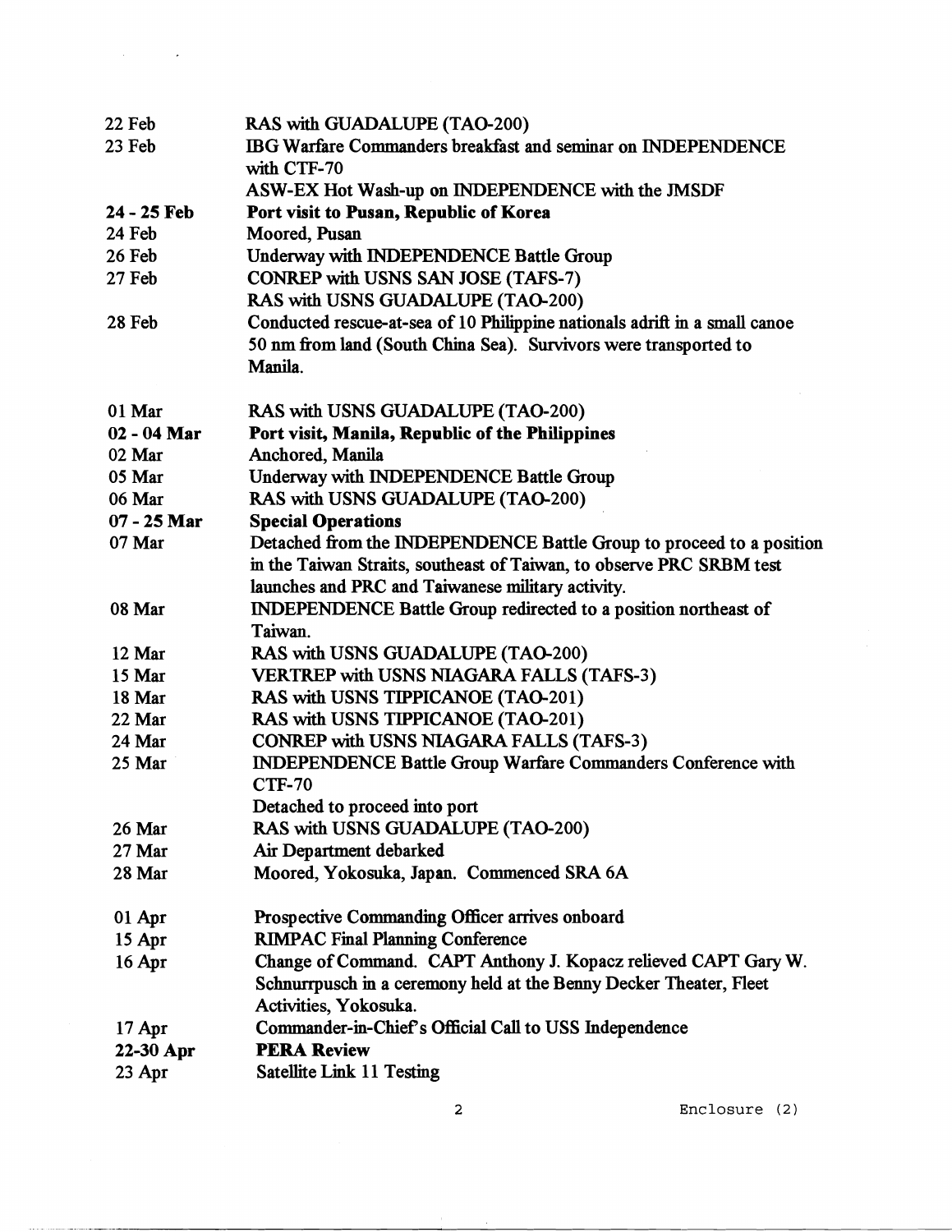| 22 Feb        | <b>RAS with GUADALUPE (TAO-200)</b>                                        |
|---------------|----------------------------------------------------------------------------|
| 23 Feb        | IBG Warfare Commanders breakfast and seminar on INDEPENDENCE               |
|               | with CTF-70                                                                |
|               | ASW-EX Hot Wash-up on INDEPENDENCE with the JMSDF                          |
| 24 - 25 Feb   | Port visit to Pusan, Republic of Korea                                     |
| 24 Feb        | Moored, Pusan                                                              |
| 26 Feb        | <b>Underway with INDEPENDENCE Battle Group</b>                             |
| 27 Feb        | <b>CONREP with USNS SAN JOSE (TAFS-7)</b>                                  |
|               | RAS with USNS GUADALUPE (TAO-200)                                          |
| 28 Feb        | Conducted rescue-at-sea of 10 Philippine nationals adrift in a small canoe |
|               | 50 nm from land (South China Sea). Survivors were transported to           |
|               | Manila.                                                                    |
| 01 Mar        | RAS with USNS GUADALUPE (TAO-200)                                          |
| $02 - 04$ Mar | Port visit, Manila, Republic of the Philippines                            |
| 02 Mar        | Anchored, Manila                                                           |
| 05 Mar        | <b>Underway with INDEPENDENCE Battle Group</b>                             |
| 06 Mar        | RAS with USNS GUADALUPE (TAO-200)                                          |
| $07 - 25$ Mar | <b>Special Operations</b>                                                  |
| 07 Mar        | Detached from the INDEPENDENCE Battle Group to proceed to a position       |
|               | in the Taiwan Straits, southeast of Taiwan, to observe PRC SRBM test       |
|               | launches and PRC and Taiwanese military activity.                          |
| 08 Mar        | <b>INDEPENDENCE Battle Group redirected to a position northeast of</b>     |
|               | Taiwan.                                                                    |
| 12 Mar        | RAS with USNS GUADALUPE (TAO-200)                                          |
| 15 Mar        | <b>VERTREP with USNS NIAGARA FALLS (TAFS-3)</b>                            |
| 18 Mar        | RAS with USNS TIPPICANOE (TAO-201)                                         |
| 22 Mar        | RAS with USNS TIPPICANOE (TAO-201)                                         |
| 24 Mar        | <b>CONREP with USNS NIAGARA FALLS (TAFS-3)</b>                             |
| 25 Mar        | INDEPENDENCE Battle Group Warfare Commanders Conference with               |
|               | <b>CTF-70</b>                                                              |
|               | Detached to proceed into port                                              |
| 26 Mar        | RAS with USNS GUADALUPE (TAO-200)                                          |
| 27 Mar        | Air Department debarked                                                    |
| 28 Mar        | Moored, Yokosuka, Japan. Commenced SRA 6A                                  |
| 01 Apr        | Prospective Commanding Officer arrives onboard                             |
| 15 Apr        | <b>RIMPAC Final Planning Conference</b>                                    |
| 16 Apr        | Change of Command. CAPT Anthony J. Kopacz relieved CAPT Gary W.            |
|               | Schnurrpusch in a ceremony held at the Benny Decker Theater, Fleet         |
|               | Activities, Yokosuka.                                                      |
| $17$ Apr      | Commander-in-Chief's Official Call to USS Independence                     |
| 22-30 Apr     | <b>PERA Review</b>                                                         |
| $23$ Apr      | <b>Satellite Link 11 Testing</b>                                           |
|               |                                                                            |

 $\label{eq:2} \mathcal{L}_{\text{max}}(\mathcal{L}_{\text{max}}) = \mathcal{L}_{\text{max}}(\mathcal{L}_{\text{max}})$ 

**2 Enclosure** (2)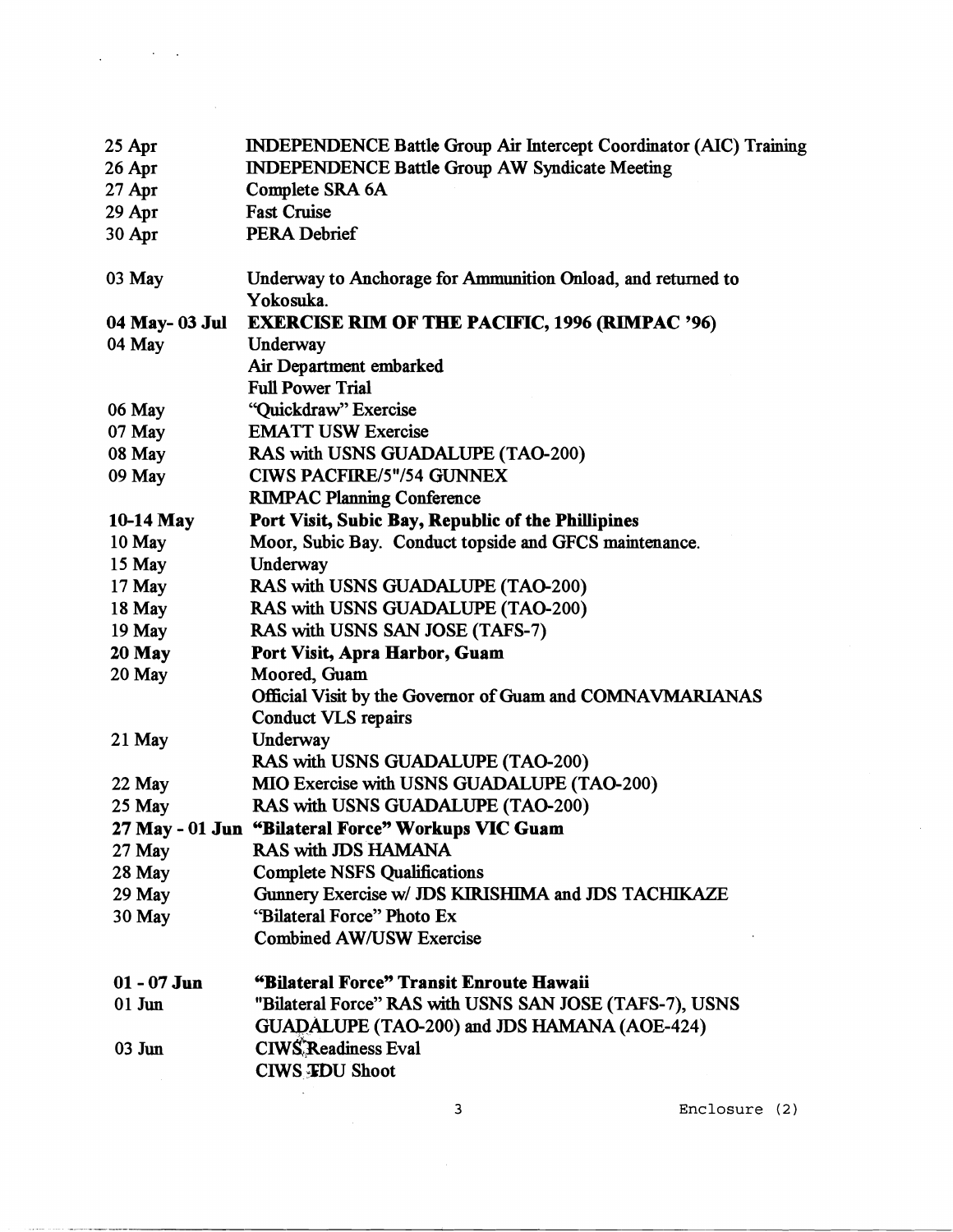| 25 Apr         | <b>INDEPENDENCE Battle Group Air Intercept Coordinator (AIC) Training</b> |
|----------------|---------------------------------------------------------------------------|
| 26 Apr         | <b>INDEPENDENCE Battle Group AW Syndicate Meeting</b>                     |
| $27$ Apr       | Complete SRA 6A                                                           |
| $29$ Apr       | <b>Fast Cruise</b>                                                        |
| 30 Apr         | <b>PERA Debrief</b>                                                       |
| 03 May         | Underway to Anchorage for Ammunition Onload, and returned to<br>Yokosuka. |
| 04 May- 03 Jul | <b>EXERCISE RIM OF THE PACIFIC, 1996 (RIMPAC '96)</b>                     |
| 04 May         | Underway                                                                  |
|                | Air Department embarked                                                   |
|                | <b>Full Power Trial</b>                                                   |
| 06 May         | "Quickdraw" Exercise                                                      |
| 07 May         | <b>EMATT USW Exercise</b>                                                 |
| 08 May         | RAS with USNS GUADALUPE (TAO-200)                                         |
| 09 May         | <b>CIWS PACFIRE/5"/54 GUNNEX</b>                                          |
|                | <b>RIMPAC Planning Conference</b>                                         |
| 10-14 May      | Port Visit, Subic Bay, Republic of the Phillipines                        |
| 10 May         | Moor, Subic Bay. Conduct topside and GFCS maintenance.                    |
| 15 May         | Underway                                                                  |
| $17$ May       | RAS with USNS GUADALUPE (TAO-200)                                         |
| $18$ May       | RAS with USNS GUADALUPE (TAO-200)                                         |
| $19$ May       | RAS with USNS SAN JOSE (TAFS-7)                                           |
| $20$ May       | Port Visit, Apra Harbor, Guam                                             |
| $20$ May       | Moored, Guam                                                              |
|                | Official Visit by the Governor of Guam and COMNAVMARIANAS                 |
|                | <b>Conduct VLS repairs</b>                                                |
| $21$ May       | Underway                                                                  |
|                | RAS with USNS GUADALUPE (TAO-200)                                         |
| 22 May         | MIO Exercise with USNS GUADALUPE (TAO-200)                                |
| 25 May         | RAS with USNS GUADALUPE (TAO-200)                                         |
|                | 27 May - 01 Jun "Bilateral Force" Workups VIC Guam                        |
| 27 May         | <b>RAS with JDS HAMANA</b>                                                |
| 28 May         | <b>Complete NSFS Qualifications</b>                                       |
| 29 May         | Gunnery Exercise w/ JDS KIRISHIMA and JDS TACHIKAZE                       |
| 30 May         | "Bilateral Force" Photo Ex                                                |
|                | <b>Combined AW/USW Exercise</b>                                           |
| $01 - 07$ Jun  | "Bilateral Force" Transit Enroute Hawaii                                  |
| $01$ Jun       | "Bilateral Force" RAS with USNS SAN JOSE (TAFS-7), USNS                   |
|                | GUADALUPE (TAO-200) and JDS HAMANA (AOE-424)                              |
| $03$ Jun       | <b>CIWS Readiness Eval</b>                                                |
|                | <b>CIWS FDU Shoot</b>                                                     |
|                |                                                                           |

 $\mathcal{L}^{\text{max}}_{\text{max}}$  and  $\mathcal{L}^{\text{max}}_{\text{max}}$ 

**CONTRACTOR** 

**3 Enclosure** (2)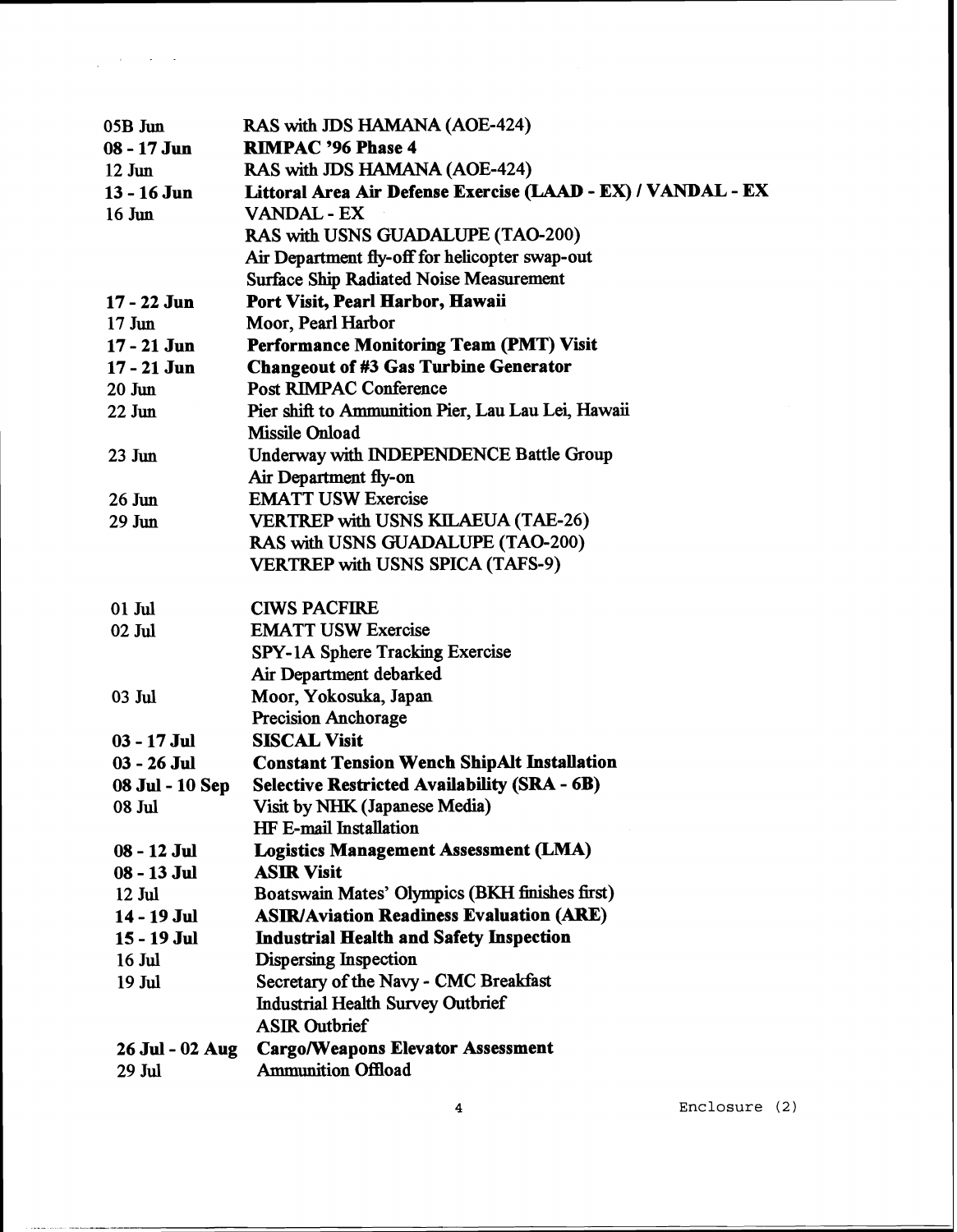| 05B Jun          | RAS with JDS HAMANA (AOE-424)                                |
|------------------|--------------------------------------------------------------|
| $08 - 17$ Jun    | <b>RIMPAC '96 Phase 4</b>                                    |
| $12$ Jun         | RAS with JDS HAMANA (AOE-424)                                |
| 13 - 16 Jun      | Littoral Area Air Defense Exercise (LAAD - EX) / VANDAL - EX |
| $16 \text{ Jun}$ | <b>VANDAL - EX</b>                                           |
|                  | RAS with USNS GUADALUPE (TAO-200)                            |
|                  | Air Department fly-off for helicopter swap-out               |
|                  | <b>Surface Ship Radiated Noise Measurement</b>               |
| 17 - 22 Jun      | Port Visit, Pearl Harbor, Hawaii                             |
| $17 \text{ Jun}$ | Moor, Pearl Harbor                                           |
| $17 - 21$ Jun    | <b>Performance Monitoring Team (PMT) Visit</b>               |
| $17 - 21$ Jun    | <b>Changeout of #3 Gas Turbine Generator</b>                 |
| $20 \text{ Jun}$ | <b>Post RIMPAC Conference</b>                                |
| $22$ Jun         | Pier shift to Ammunition Pier, Lau Lau Lei, Hawaii           |
|                  | Missile Onload                                               |
| $23 \text{ Jun}$ | Underway with INDEPENDENCE Battle Group                      |
|                  | Air Department fly-on                                        |
| $26 \text{ Jun}$ | <b>EMATT USW Exercise</b>                                    |
| 29 Jun           | <b>VERTREP with USNS KILAEUA (TAE-26)</b>                    |
|                  | RAS with USNS GUADALUPE (TAO-200)                            |
|                  | <b>VERTREP with USNS SPICA (TAFS-9)</b>                      |
|                  |                                                              |
| $01$ Jul         | <b>CIWS PACFIRE</b>                                          |
| 02 Jul           | <b>EMATT USW Exercise</b>                                    |
|                  | SPY-1A Sphere Tracking Exercise                              |
|                  | Air Department debarked                                      |
| 03 Jul           | Moor, Yokosuka, Japan                                        |
|                  | <b>Precision Anchorage</b>                                   |
| $03 - 17$ Jul    | <b>SISCAL Visit</b>                                          |
| $03 - 26$ Jul    | <b>Constant Tension Wench ShipAlt Installation</b>           |
| 08 Jul - 10 Sep  | <b>Selective Restricted Availability (SRA - 6B)</b>          |
| 08 Jul           | Visit by NHK (Japanese Media)                                |
|                  | HF E-mail Installation                                       |
| 08 - 12 Jul      | <b>Logistics Management Assessment (LMA)</b>                 |
| 08 - 13 Jul      | <b>ASIR Visit</b>                                            |
| 12 Jul           | Boatswain Mates' Olympics (BKH finishes first)               |
| 14 - 19 Jul      | <b>ASIR/Aviation Readiness Evaluation (ARE)</b>              |
| 15 - 19 Jul      | <b>Industrial Health and Safety Inspection</b>               |
| 16 Jul           | <b>Dispersing Inspection</b>                                 |
| 19 Jul           | Secretary of the Navy - CMC Breakfast                        |
|                  | <b>Industrial Health Survey Outbrief</b>                     |
|                  | <b>ASIR Outbrief</b>                                         |
| 26 Jul - 02 Aug  | <b>Cargo/Weapons Elevator Assessment</b>                     |
| 29 Jul           | <b>Ammunition Offload</b>                                    |

 $\label{eq:2.1} \frac{1}{\sqrt{2\pi}}\int_{\mathbb{R}^3} \left|\frac{d\mathbf{x}}{d\mathbf{x}}\right|^2 \, d\mathbf{x} \, d\mathbf{x} \, d\mathbf{x} \, d\mathbf{x} \, d\mathbf{x} \, d\mathbf{x} \, d\mathbf{x} \, d\mathbf{x} \, d\mathbf{x} \, d\mathbf{x} \, d\mathbf{x} \, d\mathbf{x} \, d\mathbf{x} \, d\mathbf{x} \, d\mathbf{x} \, d\mathbf{x} \, d\mathbf{x} \, d\mathbf{x} \, d\mathbf{x} \, d\mathbf{x} \, d\math$ 

**Enclosure** (2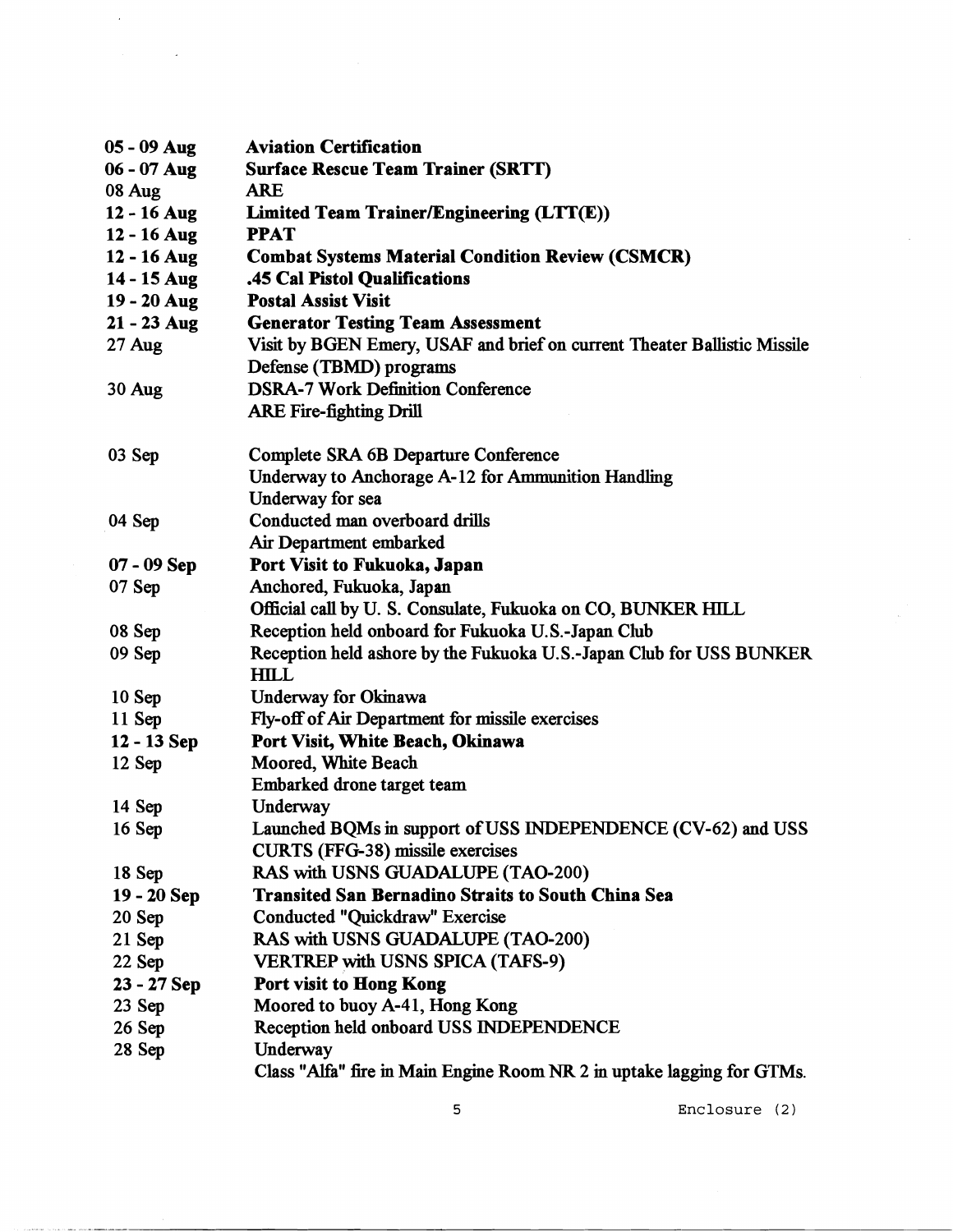| 05 - 09 Aug   | <b>Aviation Certification</b>                                                      |
|---------------|------------------------------------------------------------------------------------|
| $06 - 07$ Aug | <b>Surface Rescue Team Trainer (SRTT)</b>                                          |
| 08 Aug        | <b>ARE</b>                                                                         |
| 12 - 16 Aug   | Limited Team Trainer/Engineering (LTT(E))                                          |
| 12 - 16 Aug   | <b>PPAT</b>                                                                        |
| 12 - 16 Aug   | <b>Combat Systems Material Condition Review (CSMCR)</b>                            |
| 14 - 15 Aug   | .45 Cal Pistol Qualifications                                                      |
| 19 - 20 Aug   | <b>Postal Assist Visit</b>                                                         |
| $21 - 23$ Aug | <b>Generator Testing Team Assessment</b>                                           |
| $27$ Aug      | Visit by BGEN Emery, USAF and brief on current Theater Ballistic Missile           |
|               | Defense (TBMD) programs                                                            |
| 30 Aug        | <b>DSRA-7 Work Definition Conference</b>                                           |
|               | <b>ARE Fire-fighting Drill</b>                                                     |
| 03 Sep        | <b>Complete SRA 6B Departure Conference</b>                                        |
|               | Underway to Anchorage A-12 for Ammunition Handling                                 |
|               | Underway for sea                                                                   |
| 04 Sep        | Conducted man overboard drills                                                     |
|               | Air Department embarked                                                            |
| $07 - 09$ Sep | Port Visit to Fukuoka, Japan                                                       |
| 07Sep         | Anchored, Fukuoka, Japan                                                           |
|               | Official call by U. S. Consulate, Fukuoka on CO, BUNKER HILL                       |
| 08 Sep        | Reception held onboard for Fukuoka U.S.-Japan Club                                 |
| 09 Sep        | Reception held ashore by the Fukuoka U.S.-Japan Club for USS BUNKER<br><b>HILL</b> |
| $10$ Sep      | <b>Underway for Okinawa</b>                                                        |
| $11$ Sep      | Fly-off of Air Department for missile exercises                                    |
| 12 - 13 Sep   | Port Visit, White Beach, Okinawa                                                   |
| $12$ Sep      | Moored, White Beach                                                                |
|               | Embarked drone target team                                                         |
| $14$ Sep      | Underway                                                                           |
| 16 Sep        | Launched BQMs in support of USS INDEPENDENCE (CV-62) and USS                       |
|               | <b>CURTS (FFG-38) missile exercises</b>                                            |
| 18 Sep        | RAS with USNS GUADALUPE (TAO-200)                                                  |
| 19 - 20 Sep   | <b>Transited San Bernadino Straits to South China Sea</b>                          |
| 20 Sep        | Conducted "Quickdraw" Exercise                                                     |
| $21$ Sep      | RAS with USNS GUADALUPE (TAO-200)                                                  |
| 22 Sep        | <b>VERTREP with USNS SPICA (TAFS-9)</b>                                            |
| $23 - 27$ Sep | Port visit to Hong Kong                                                            |
| $23$ Sep      | Moored to buoy A-41, Hong Kong                                                     |
| $26$ Sep      | Reception held onboard USS INDEPENDENCE                                            |
| 28 Sep        | Underway                                                                           |
|               | Class "Alfa" fire in Main Engine Room NR 2 in uptake lagging for GTMs.             |

 $\mathcal{L}(\mathcal{L})$ 

 $\label{eq:2.1} \mathcal{L}_{\text{max}}(\mathcal{L}_{\text{max}}) = \mathcal{L}_{\text{max}}(\mathcal{L}_{\text{max}})$ 

**5 Enclosure** (2)

 $\ddot{\phantom{a}}$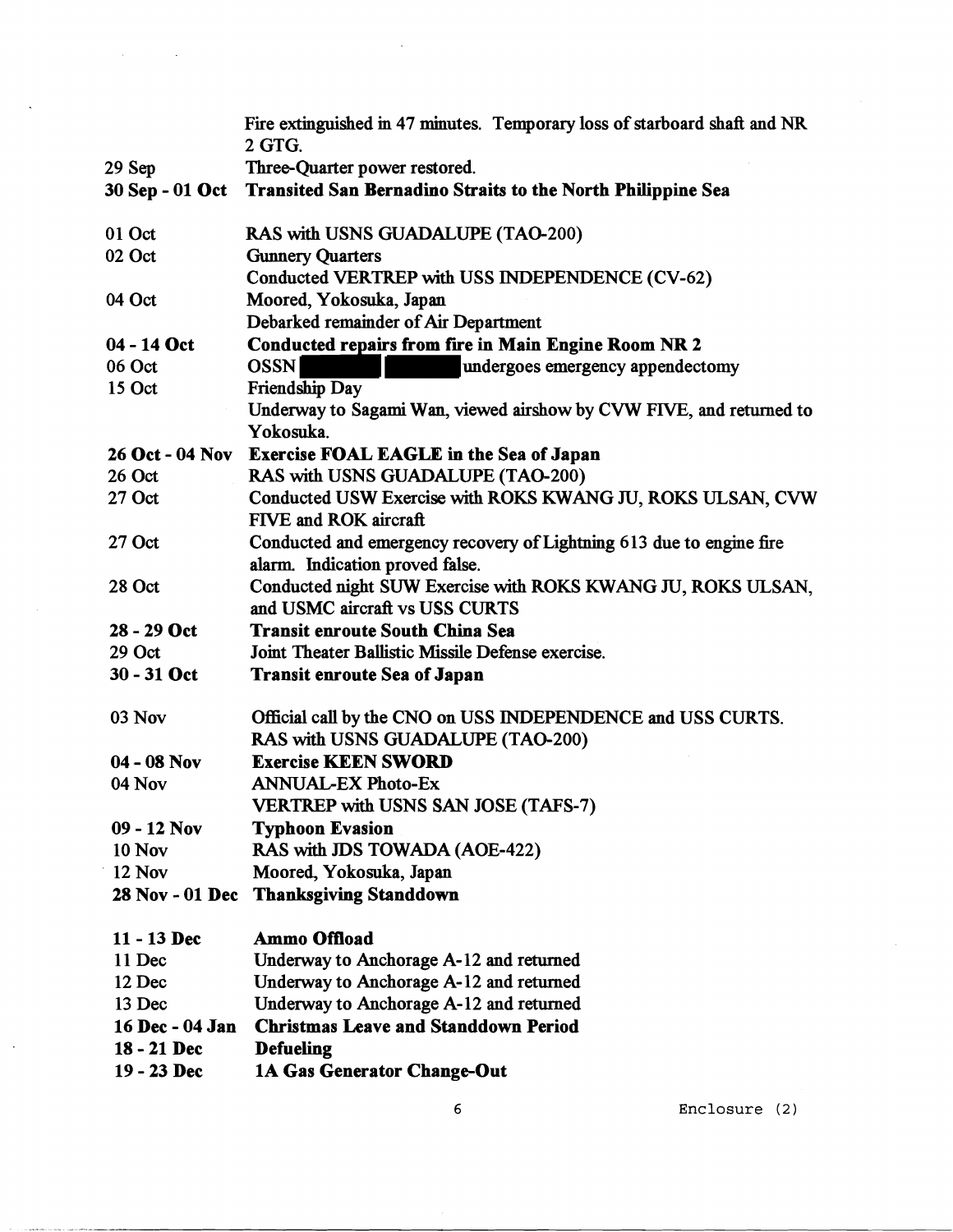|                        | Fire extinguished in 47 minutes. Temporary loss of starboard shaft and NR<br>2 GTG. |
|------------------------|-------------------------------------------------------------------------------------|
| 29 Sep                 | Three-Quarter power restored.                                                       |
|                        | 30 Sep - 01 Oct Transited San Bernadino Straits to the North Philippine Sea         |
|                        |                                                                                     |
| 01 Oct                 | RAS with USNS GUADALUPE (TAO-200)                                                   |
| 02 Oct                 | <b>Gunnery Quarters</b>                                                             |
|                        | Conducted VERTREP with USS INDEPENDENCE (CV-62)                                     |
| 04 Oct                 | Moored, Yokosuka, Japan                                                             |
|                        | Debarked remainder of Air Department                                                |
| 04 - 14 Oct            | <b>Conducted repairs from fire in Main Engine Room NR 2</b>                         |
| 06 Oct                 | <b>OSSN</b><br>undergoes emergency appendectomy                                     |
| 15 Oct                 | Friendship Day                                                                      |
|                        | Underway to Sagami Wan, viewed airshow by CVW FIVE, and returned to                 |
|                        | Yokosuka.                                                                           |
| <b>26 Oct - 04 Nov</b> | Exercise FOAL EAGLE in the Sea of Japan                                             |
| 26 Oct                 | RAS with USNS GUADALUPE (TAO-200)                                                   |
| 27 Oct                 | Conducted USW Exercise with ROKS KWANG JU, ROKS ULSAN, CVW                          |
|                        | FIVE and ROK aircraft                                                               |
| $27$ Oct               | Conducted and emergency recovery of Lightning 613 due to engine fire                |
|                        | alarm. Indication proved false.                                                     |
| 28 Oct                 | Conducted night SUW Exercise with ROKS KWANG JU, ROKS ULSAN,                        |
|                        | and USMC aircraft vs USS CURTS                                                      |
| 28 - 29 Oct            | <b>Transit enroute South China Sea</b>                                              |
| 29 Oct                 | Joint Theater Ballistic Missile Defense exercise.                                   |
| 30 - 31 Oct            | <b>Transit enroute Sea of Japan</b>                                                 |
|                        |                                                                                     |
| 03 Nov                 | Official call by the CNO on USS INDEPENDENCE and USS CURTS.                         |
|                        | RAS with USNS GUADALUPE (TAO-200)                                                   |
| $04 - 08$ Nov          | <b>Exercise KEEN SWORD</b>                                                          |
| 04 Nov                 | <b>ANNUAL-EX Photo-Ex</b>                                                           |
|                        | <b>VERTREP with USNS SAN JOSE (TAFS-7)</b>                                          |
| $09 - 12$ Nov          | <b>Typhoon Evasion</b>                                                              |
| <b>10 Nov</b>          | RAS with JDS TOWADA (AOE-422)                                                       |
| 12 Nov                 | Moored, Yokosuka, Japan                                                             |
| <b>28 Nov - 01 Dec</b> | <b>Thanksgiving Standdown</b>                                                       |
| $11 - 13$ Dec          | <b>Ammo Offload</b>                                                                 |
| 11 Dec                 | Underway to Anchorage A-12 and returned                                             |
| 12 Dec                 | Underway to Anchorage A-12 and returned                                             |
| 13 Dec                 | Underway to Anchorage A-12 and returned                                             |
| 16 Dec - 04 Jan        | <b>Christmas Leave and Standdown Period</b>                                         |
| 18 - 21 Dec            | <b>Defueling</b>                                                                    |
| 19 - 23 Dec            | 1A Gas Generator Change-Out                                                         |
|                        |                                                                                     |

 $\lambda$ 

 $\mathcal{A}^{\mathcal{A}}$  and  $\mathcal{A}^{\mathcal{A}}$  and  $\mathcal{A}^{\mathcal{A}}$ 

 $\ddot{\phantom{a}}$ 

 $\sim$ 

 $\epsilon$ 

**Enclosure** (2)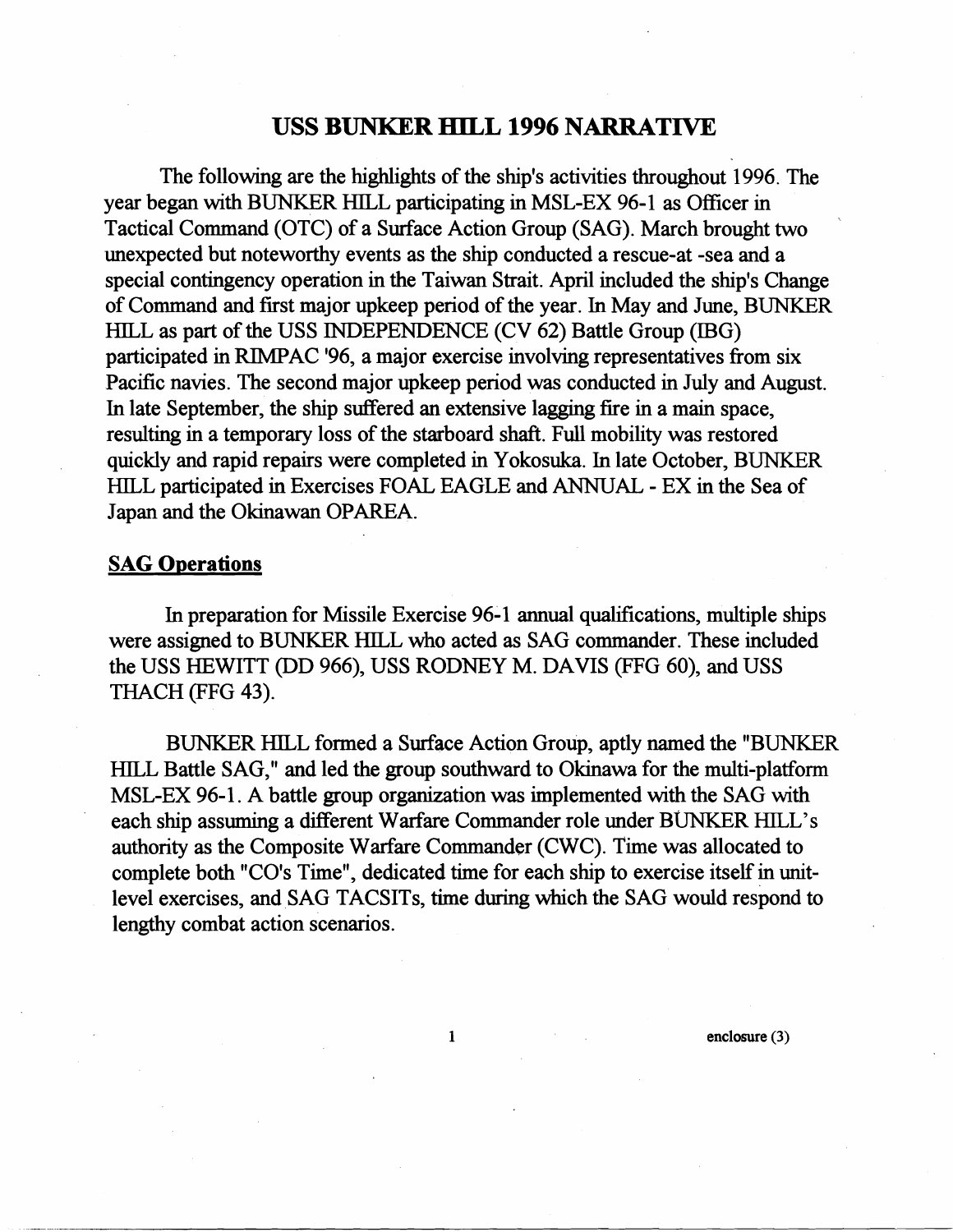## **USS BUNKER HILL 1996 NARRATIVE**

The following are the highlights of the ship's activities throughout 1996. The year began with BUNKER HILL participating in MSL-EX 96-1 as Officer in Tactical Command (OTC) of a Surface Action Group (SAG). March brought two unexpected but noteworthy events as the ship conducted a rescue-at -sea and a special contingency operation in the Taiwan Strait. April included the ship's Change of Command and fust major upkeep period of the year. In May and June, BUNKER HILL as part of the USS INDEPENDENCE (CV 62) Battle Group (IBG) participated in RIMPAC '96, a major exercise involving representatives from six Pacific navies. The second major upkeep period was conducted in July and August. In late September, the ship suffered an extensive lagging fire in a main space, resulting in a temporary loss of the starboard shaft. Full mobility was restored quickly and rapid repairs were completed in Yokosuka. In late October, BUNKER HILL participated in Exercises FOAL EAGLE and ANNUAL - EX in the Sea of Japan and the Okinawan OPAREA.

### **SAG Operations**

In preparation for Missile Exercise 96-1 annual qualifications, multiple ships were assigned to BUNKER HILL who acted as SAG commander. These included the USS HEWITT (DD 966), USS RODNEY M. DAVIS (FFG 60), and USS THACH (FFG 43).

BUNKER HILL formed a Surface Action Group, aptly named the "BUNKER HILL Battle SAG," and led the group southward to Okinawa for the multi-platform MSL-EX 96-1. A battle group organization was implemented with the SAG with each ship assuming a different Warfare Commander role under BUNKER HILL'S authority as the Composite Warfare Commander (CWC). Time was allocated to complete both "CO's Time", dedicated time for each ship to exercise itself in unitlevel exercises, and SAG TACSITs, time during which the SAG would respond to lengthy combat action scenarios.

 $\mathbf{1}$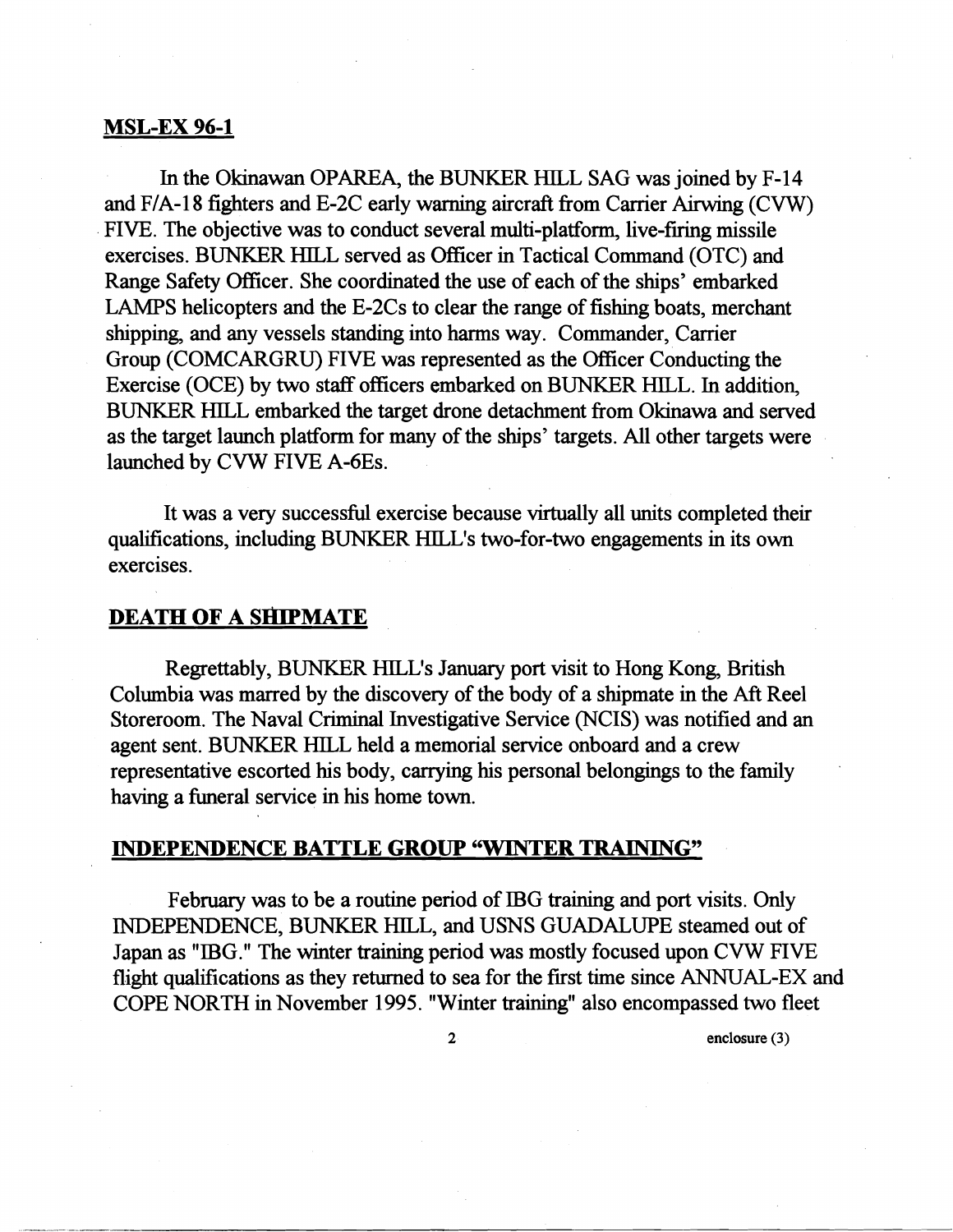#### MSL-EX 96-1

In the Okinawan OPAREA, the BUNKER HILL SAG was joined by F-14 and  $F/A-18$  fighters and E-2C early warning aircraft from Carrier Airwing (CVW) FIVE. The objective was to conduct several multi-platform, live-firing missile exercises. BUNKER HILL served as Officer in Tactical Command (OTC) and Range Safety Officer. She coordinated the use of each of the ships' embarked LAMPS helicopters and the  $E-2Cs$  to clear the range of fishing boats, merchant shipping, and any vessels standing into harms way. Commander, Carrier Group (COMCARGRU) FIVE was represented as the Officer Conducting the Exercise (OCE) by two staff officers embarked on BUNKER HILL. In addition, BUNKER HILL embarked the target drone detachment from Okinawa and served as the target launch platform for many of the ships' targets. All other targets were launched by CVW FIVE A-6Es.

It was a very successful exercise because virtually all units completed their qualifications, including BUNKER HILL'S two-for-two engagements in its own exercises.

### **DEATH OF A SHIPMATE**

Regrettably, BUNKER HILL'S January port visit to Hong Kong, British Columbia was marred by the discovery of the body of a shipmate in the Aft Reel Storeroom. The Naval Criminal Investigative Service (NCIS) was notified and an agent sent. BUNKER HILL held a memorial service onboard and a crew representative escorted his body, carrying his personal belongings to the family having a fimeral service in his home town.

## INDEPENDENCE BATTLE **GROUP** "WINTER **TRAINING"**

February was to be a routine period of IBG training and port visits. Only INDEPENDENCE, BUNKER HILL, and USNS GUADALUPE steamed out of Japan as "IBG." The winter training period was mostly focused upon CVW FIVE flight qualifications as they returned to sea for the first time since ANNUAL-EX and COPE NORTH in November 1995. "Winter training" also encompassed two fleet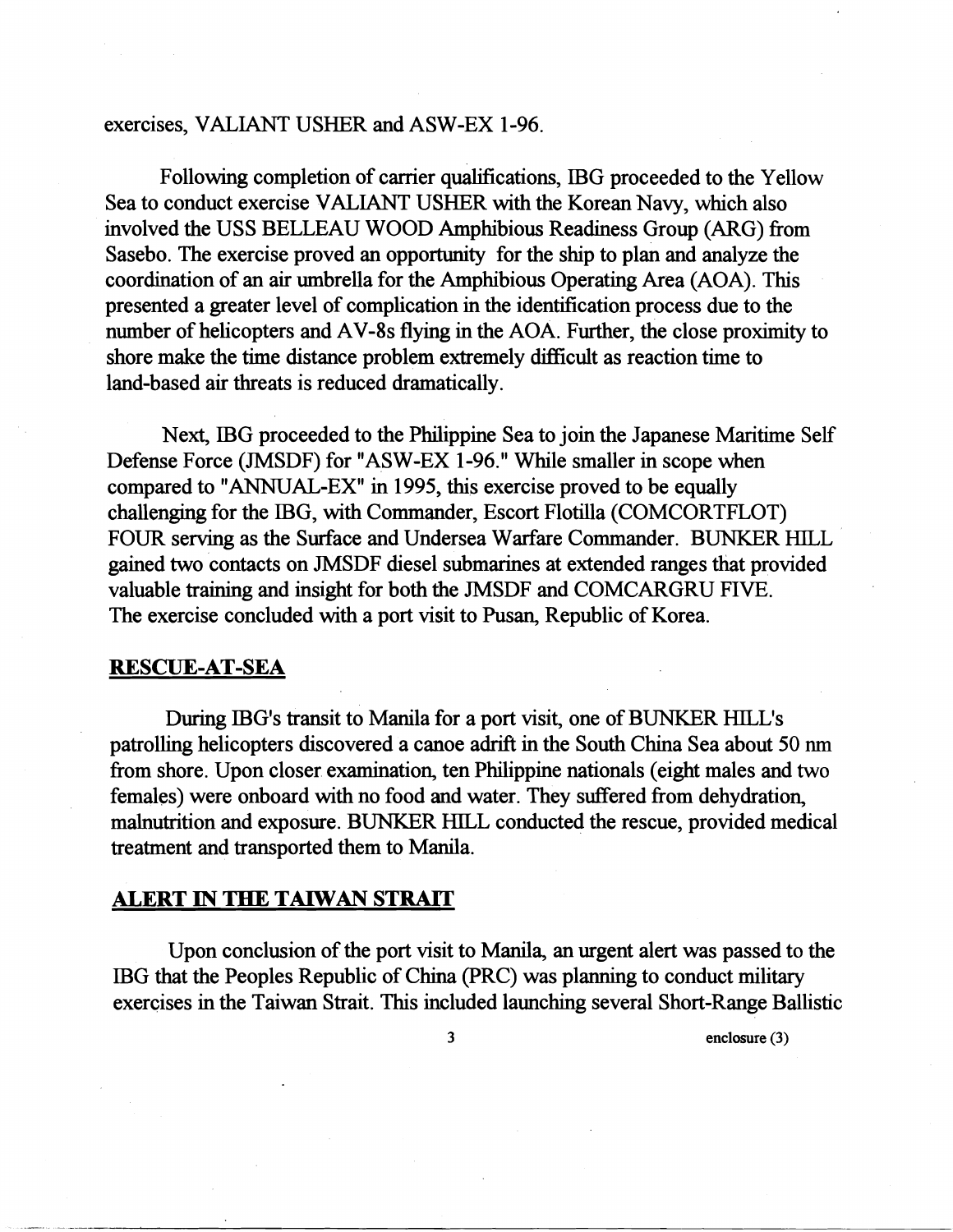### exercises, VALIANT USHER and ASW-EX 1-96.

Following completion of carrier qualifications, IBG proceeded to the Yellow Sea to conduct exercise VALIANT USHER with the Korean Navy, which also involved the USS BELLEAU WOOD Amphibious Readmess Group (ARG) from Sasebo. The exercise proved an opportunity for the ship to plan and analyze the coordination of an air umbrella for the Amphibious Operating Area (AOA). This presented a greater level of complication in the identification process due to the number of helicopters and AV-8s flying in the AOA. Further, the close proximity to shore make the time distance problem extremely difficult as reaction time to land-based air threats is reduced dramatically.

Next, IBG proceeded to the Phdippine Sea to join the Japanese Maritime Self Defense Force (JMSDF) for "ASW-EX 1-96." Whle smaller in scope when compared to "ANNUAL-EX" in 1995, this exercise proved to be equally challenging for the IBG, with Commander, Escort Flotilla (COMCORTFLOT) FOUR serving as the Surface and Undersea Warfare Commander. BUNKER HILL gained two contacts on JMSDF diesel submarines at extended ranges that provided valuable training and insight for both the JMSDF and COMCARGRU FIVE. The exercise concluded with a port visit to Pusan, Republic of Korea.

### **RESCUE-AT-SEA**

During IBG's transit to Manila for a port visit, one of BUNKER HILL'S patrolling helicopters discovered a canoe adrift in the South China Sea about 50 nm fiom shore. Upon closer examination, ten Philippine nationals (eight males and two females) were onboard with no food and water. They suffered from dehydration, malnutrition and exposure. BUNKER HILL conducted the rescue, provided medical treatment and transported them to Manila.

#### **ALERT IN THE TAIWAN STRAIT**

Upon conclusion of the port visit to Manila, an urgent alert was passed to the IBG that the Peoples Republic of China (PRC) was planning to conduct military exercises in the Taiwan Strait. This included launching several Short-Range Ballistic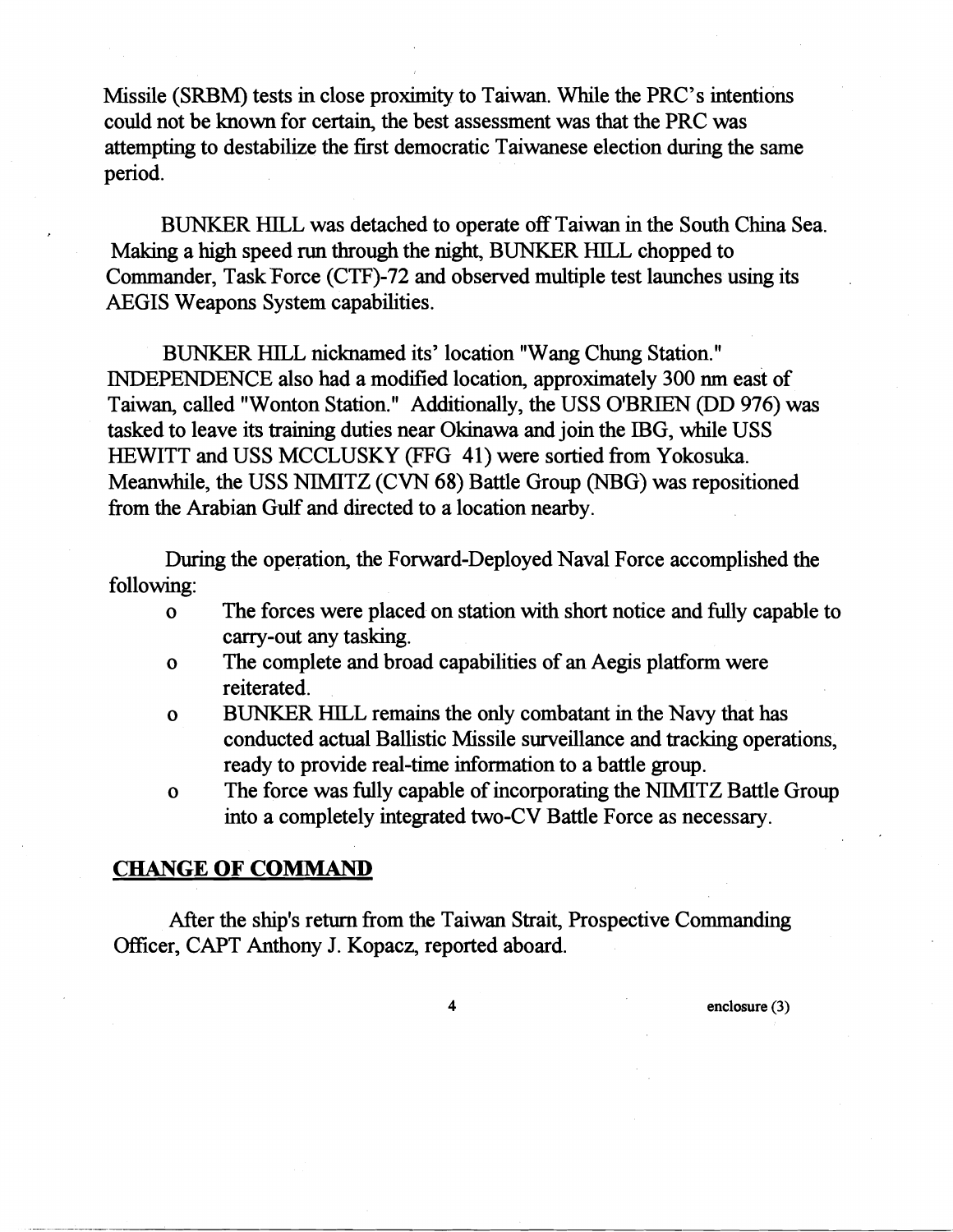Missile (SRBM) tests in close proximity to Taiwan. While the PRC's intentions could not be known for certain, the best assessment was that the PRC was attempting to destabilize the first democratic Taiwanese election during the same period.

BUNKER HILL was detached to operate off Taiwan in the South China Sea. Making a high speed **run** through the night, BUNKER HILL chopped to Commander, Task Force (CTF)-72 and observed multiple test launches using its AEGIS Weapons System capabilities.

BUNKER HILL nicknamed its' location "Wang Chung Station." INDEPENDENCE also had a modified location, approximately 300 nm east of Taiwan, called "Wonton Station." Additionally, the USS O'BRIEN (DD 976) was tasked to leave its training duties near Okinawa and join the IBG, while USS HEWITT and USS MCCLUSKY (FFG 41) were sortied from Yokosuka. Meanwhile, the USS NIMITZ (CVN 68) Battle Group (NBG) was repositioned from the Arabian Gulf and directed to a location nearby.

During the operation, the Forward-Deployed Naval Force accomplished the following:

- o The forces were placed on station with short notice and fully capable to carry-out any tasking.
- o The complete and broad capabilities of an Aegis platform were reiterated.
- o BUNKER HTLL remains the only combatant **in** the Navy that has conducted actual Ballistic Missile surveillance and tracking operations, ready to provide real-time information to a battle group.
- o The force was fully capable of incorporating the NIMITZ Battle Group into a completely integrated two-CV Battle Force as necessary.

#### **CHANGE OF COMMAND**

After the shp's return from the Taiwan Strait, Prospective Commanding CAPT Anthony J. Kopacz, reported aboard.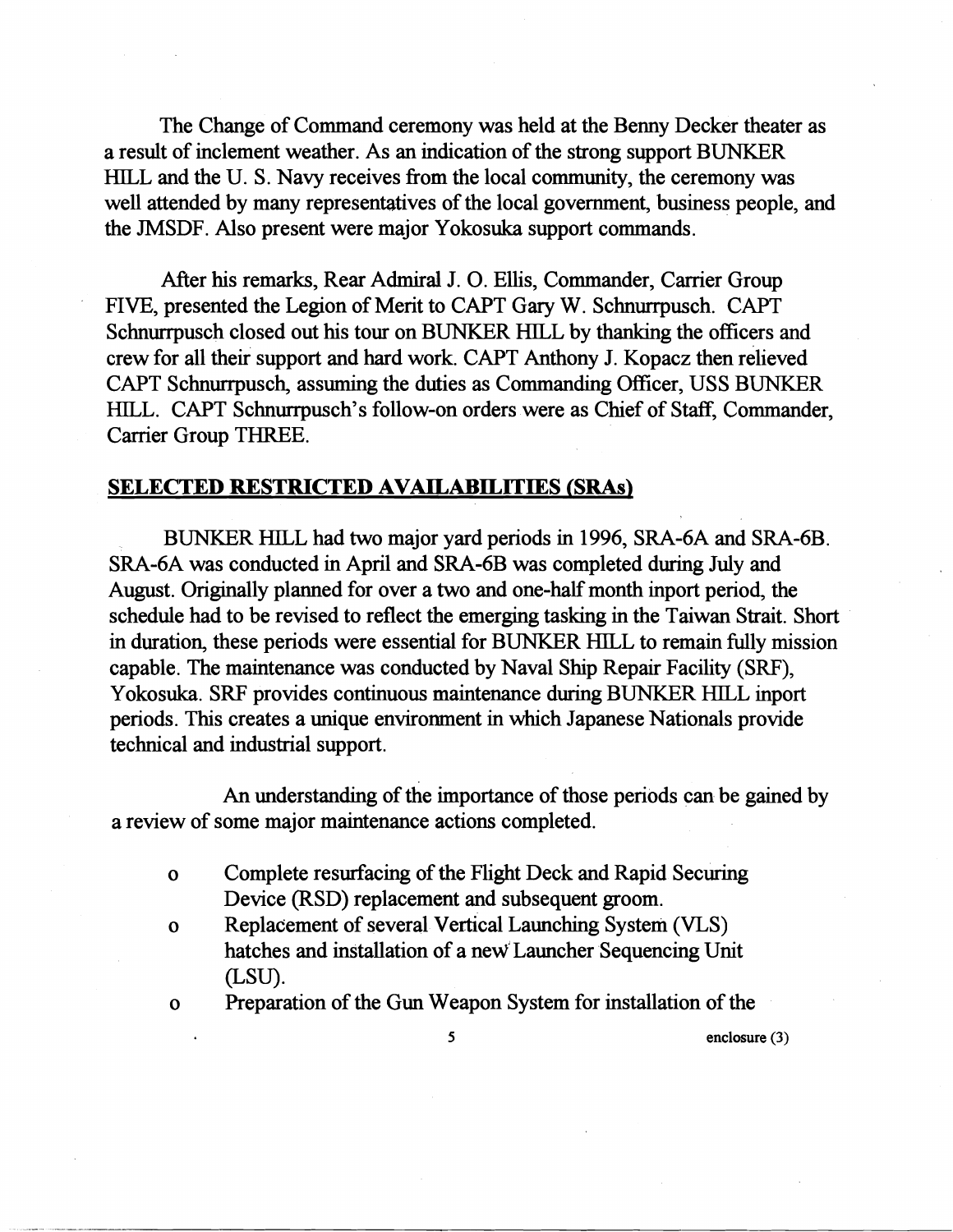The Change of Command ceremony was held at the Benny Decker theater as a result of inclement weather. As an indication of the strong support BUNKER HILL and the U. S. Navy receives from the local community, the ceremony was well attended by many representatives of the local government, business people, and the JMSDF. Also present were major Yokosuka support commands.

After his remarks, Rear Admiral J. O. Ellis, Commander, Carrier Group FIVE, presented the Legion of Merit to CAPT Gary W. Schnurrpusch. CAPT Schnurrpusch closed out his tour on BUNKER HILL by thanking the officers and crew for all their support and hard work. CAPT Anthony J. Kopacz then relieved CAPT Schnurrpusch, assuming the duties as Commanding Officer, USS BUNKER HILL. CAPT Schnurrpusch's follow-on orders were as Chief of Staff, Commander, Carrier Group THREE.

#### **SELECTED RESTRICTED AVAILABILITIES (SRAs)**

BUNKER HILL had two major yard periods in 1996, SRA-6A and SRA-6B. SRA-6A was conducted in April and SRA-6B was completed during July and August. Originally planned for over a two and one-half month inport period, the schedule had to be revised to reflect the emerging tasking in the Taiwan Strait. Short in duration, these periods were essential for BUNKER HILL to remain fully mission capable. The maintenance was conducted by Naval Ship Repair Facility (SRF), Yokosuka. SRF provides continuous maintenance during BUNKER HILL inport periods. This creates a unique environment in which Japanese Nationals provide technical and industrial support.

An understandmg of the importance of those periods can be gained by a review of some major maintenance actions completed.

- o Complete resurfacing of the Flight Deck and Rapid Securing Device (RSD) replacement and subsequent groom.
- o Replacement of several Vertical Launching System (VLS) hatches and installation of a new Launcher Sequencing Unit (LSU).
- 
- o Preparation of the Gun Weapon System for installation of the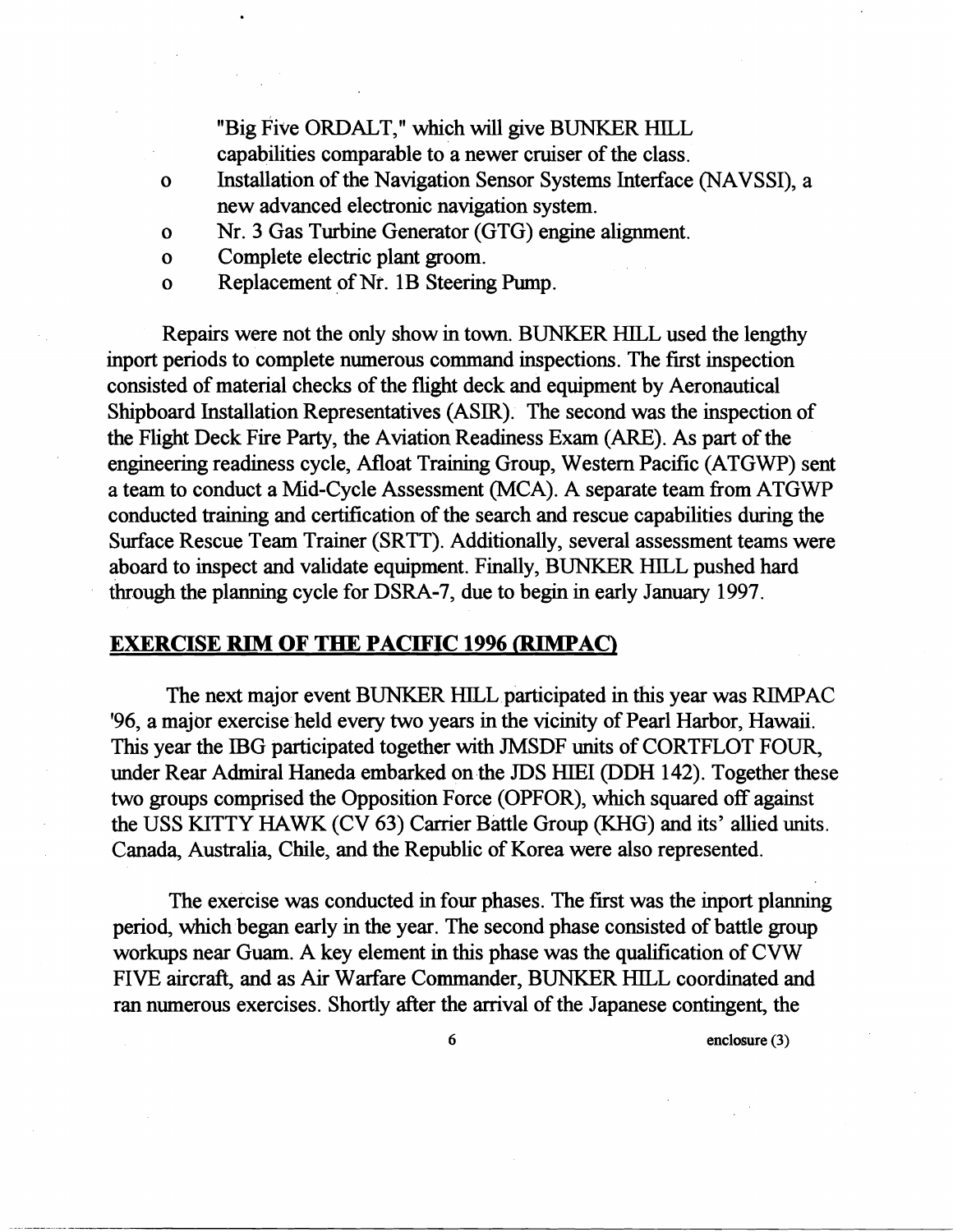"Big Five ORDALT," which will give BUNKER HILL capabilities comparable to a newer cruiser of the class.

- o Installation of the Navigation Sensor Systems Interface (NAVSSI), a new advanced electronic navigation system.
- o Nr. 3 Gas Turbine Generator (GTG) engine alignment.
- o Complete electric plant groom.
- o Replacement of Nr. 1B Steering Pump.

Repairs were not the only show in town. BUNKER HILL used the lengthy inport periods to complete numerous command inspections. The first inspection consisted of material checks of the flight deck and equipment by Aeronautical Shipboard Installation Representatives (ASIR). The second was the inspection of the Flight Deck Fire Party, the Aviation Readiness Exam (ARE). As part of the engineering readiness cycle, Afloat Training Group, Western Pacific (ATGWP) sent a team to conduct a Mid-Cycle Assessment (MCA). A separate team from ATGWP conducted training and certification of the search and rescue capabilities during the Surface Rescue Team Trainer (SRTT). Additionally, several assessment teams were aboard to inspect and validate equipment. Finally, BUNKER HILL pushed hard through the planning cycle for DSRA-7, due to begin in early January 1997.

## **EXERCISE RIM OF THE PACIFIC 1996 (RIMPAC)**

The next major event BUNKER HILL participated in this year was RIMPAC '96, a major exercise held every two years in the vicinity of Pearl Harbor, Hawaii. This year the IBG participated together with JMSDF units of CORTFLOT FOUR, under Rear Admiral Haneda embarked on the JDS HIEI (DDH 142). Together these two groups comprised the Opposition Force (OPFOR), which squared off against the USS KITTY HAWK (CV 63) Carrier Battle Group (KHG) and its' allied units. Canada, Australia, Chile, and the Republic of Korea were also represented.

The exercise was conducted in four phases. The first was the inport planning period, which began early in the year. The second phase consisted of battle group workups near Guam. A key element in this phase was the qualification of CVW FIVE aircraft, and as Air Warfare Commander, BUNKER HILL coordinated and ran numerous exercises. Shortly after the arrival of the Japanese contingent, the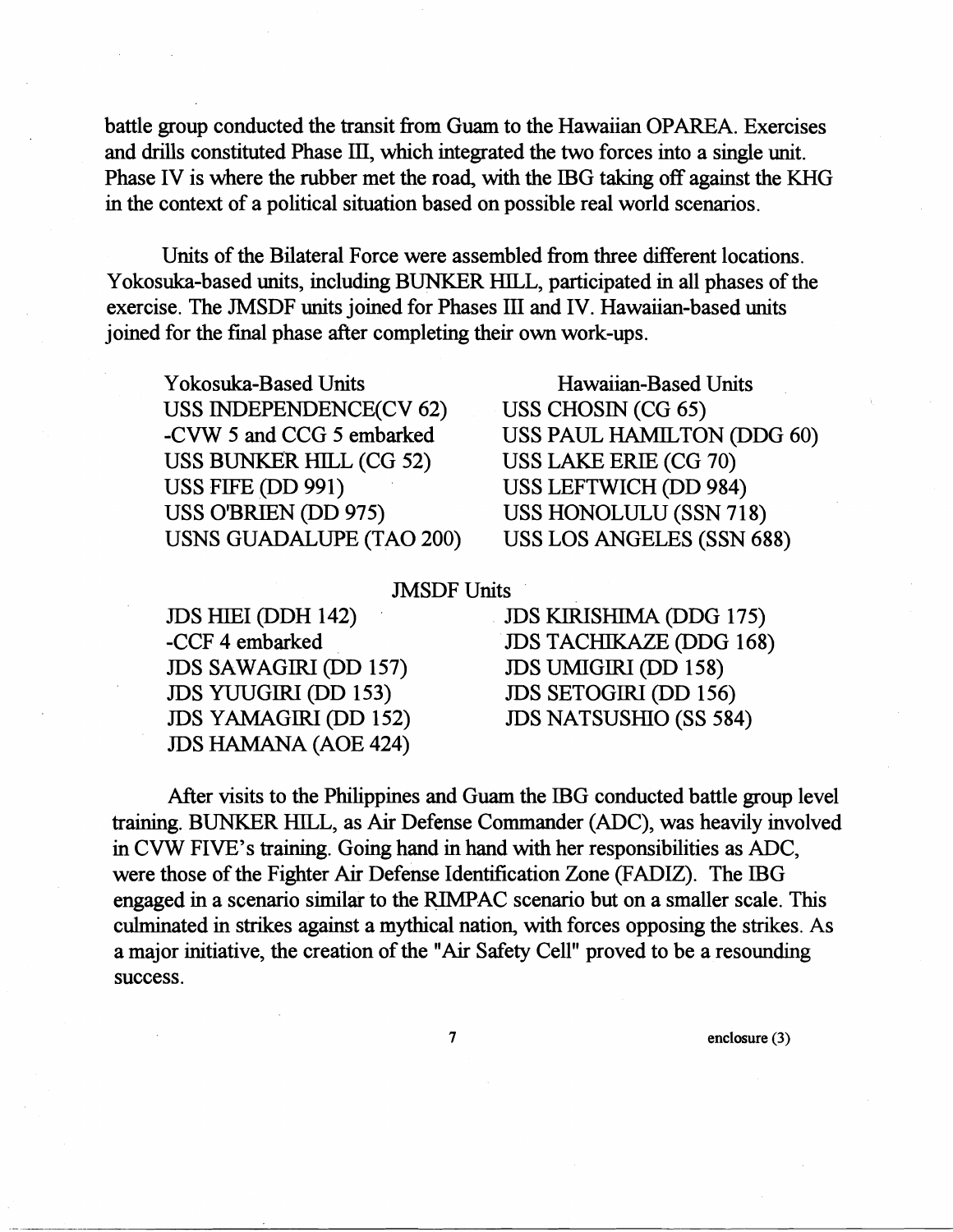battle group conducted the transit fiom Guam to the Hawaiian OPAREA. Exercises and drills constituted Phase IU, which integrated the two forces into a single unit. Phase IV is where the rubber met the road, with the IBG taking off against the KHG in the context of a political situation based on possible real world scenarios.

Units of the Bilateral Force were assembled fiom three different locations. Yokosuka-based units, including BLINKER HILL, participated in all phases of the exercise. The JMSDF units joined for Phases III and IV. Hawaiian-based units joined for the final phase after completing their own work-ups.

Yokosuka-Based Units Hawaiian-Based Units USS INDEPENDENCE(CV 62) USS CHOSIN (CG 65) USS BUNKER HILL (CG 52) USS LAKE ERIE (CG 70) USS FIFE (DD 991) USS LEFTWICH (DD 984) USS O'BRIEN (DD 975) USS HONOLULU (SSN 718) USNS GUADALUPE (TAO 200) USS LOS ANGELES (SSN 688)

-CVW 5 **and** CCG 5 embarked USS PAUL HAMILTON (DDG 60)

#### JMSDF Units

JDS SAWAGIRI (DD 157)<br>JDS YUUGIRI (DD 153) JDS YUUGIRI (DD 153) JDS SETOGIRI (DD 156)<br>JDS YAMAGIRI (DD 152) JDS NATSUSHIO (SS 584 **JDS** HAMANA (AOE 424)

JDS HIEI (DDH 142) JDS KIRISHIMA (DDG 175)<br>-CCF 4 embarked JDS TACHIKAZE (DDG 168) JDS TACHIKAZE (DDG 168)<br>JDS UMIGIRI (DD 158) JDS NATSUSHIO (SS 584)

After visits to the Philippines and Guam the IBG conducted battle group level training. BUNKER HILL, as Air Defense Commander (ADC), was heavily involved in CVW FIVE'S training. Going hand in hand with her responsibilities as ADC, were those of the Fighter Air Defense Identification Zone (FADIZ). The IBG engaged in a scenario similar to the RIMPAC scenario but on a smaller scale. This culminated in strikes against a mythical nation, with forces opposing the strikes. As a major initiative, the creation of the "Air Safety Cell" proved to be a resounding success.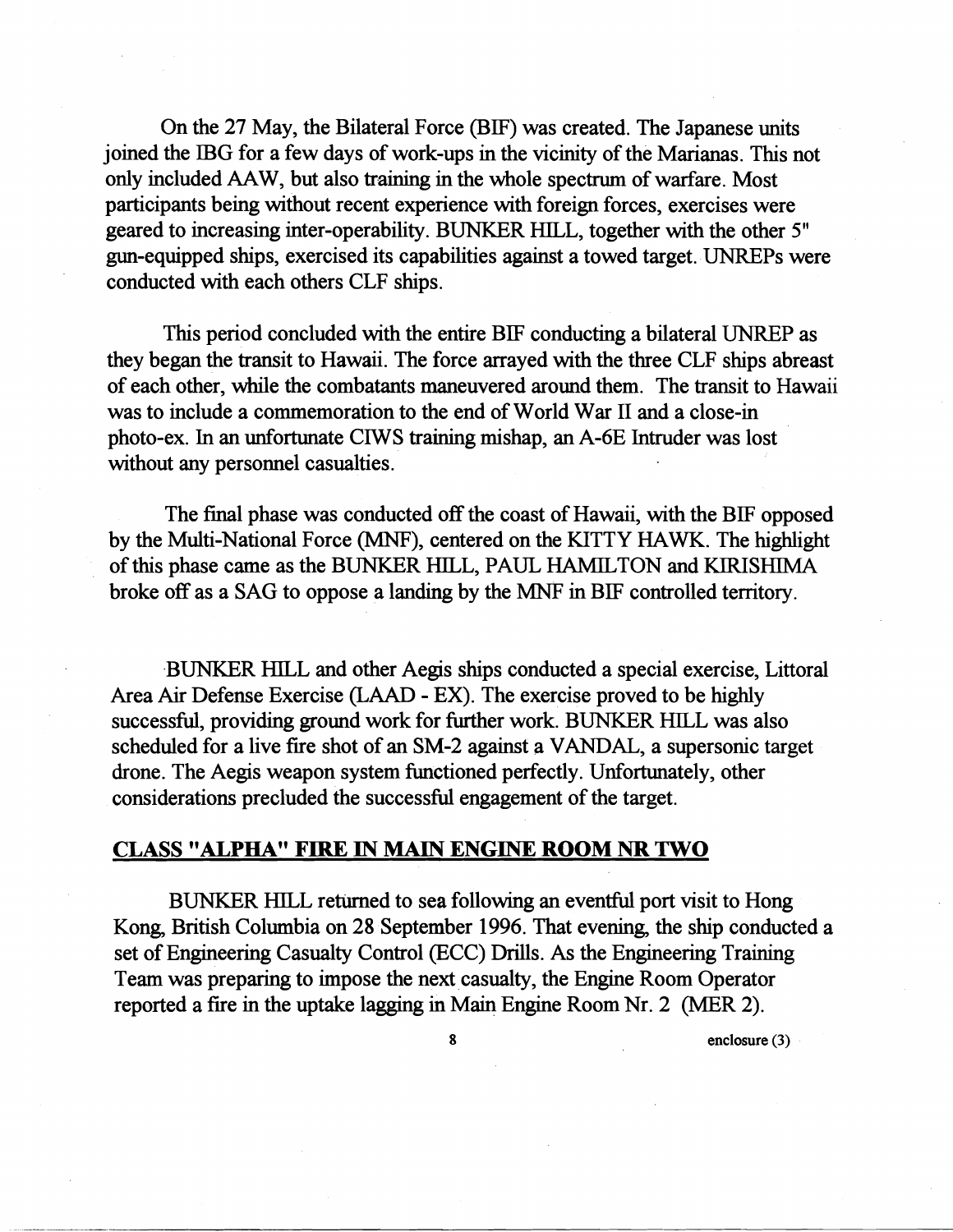On the 27 May, the Bilateral Force (BIF) was created. The Japanese units joined the IBG for a few days of work-ups in the vicinity of the Marianas. This not only included **AAW,** but also training in the whole spectrum of warfare. Most participants being without recent experience with foreign forces, exercises were geared to increasing inter-operability. BUNKER HILL, together with the other 5" gun-equipped ships, exercised its capabilities against a towed target. UNREPs were conducted with each others CLF ships.

This period concluded with the entire BIF conducting a bilateral UNREP as they began the transit to Hawaii. The force arrayed with the three CLF ships abreast of each other, while the combatants maneuvered around them. The transit to Hawaii was to include a commemoration to the end of World War I1 and a close-in photo-ex. In an unfortunate CIWS training mishap, an A-6E Intruder was lost without any personnel casualties.

The final phase was conducted off the coast of Hawaii, with the BIF opposed by the Multi-National Force (MNF), centered on the KITTY HAWK. The highlight of this phase came as the BUNKER HILL, PAUL HAMILTON and KIRISHIMA broke off as a SAG to oppose a landmg by the MNF in BIF controlled territory.

BUNKER HILL and other Aegis ships conducted a special exercise, Littoral Area Air Defense Exercise **(LAAD** - EX). The exercise proved to be hghly successful, providing ground work for further work. BUNKER HILL was also scheduled for a live fire shot of an SM-2 against a VANDAL, a supersonic target drone. The Aegis weapon system functioned perfectly. Unfortunately, other considerations precluded the successful engagement of the target.

## **CLASS "ALPHA" FIRE IN MAIN ENGINE ROOM NR TWO**

BUNKER HILL retwned to sea following an eventful port visit to Hong Kong, British Columbia on 28 September 1996. That evening, the ship conducted a set of Engineering Casualty Control (ECC) Drills. As the Engineering Training Team was preparing to impose the next casualty, the Engine Room Operator reported a fire in the uptake lagging in Main Engine Room Nr. 2 (MER 2).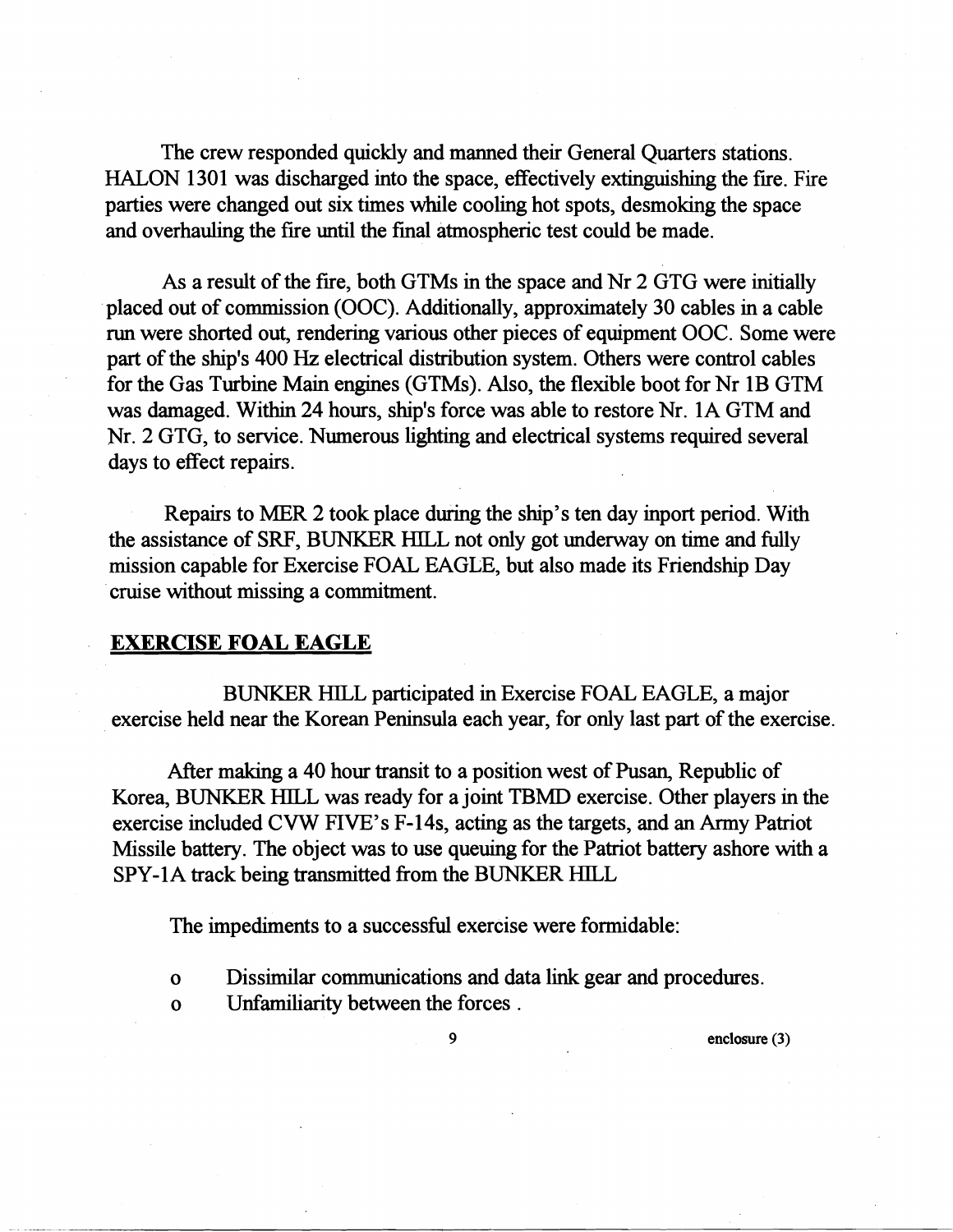The crew responded quickly and manned their General Quarters stations. HALON 1301 was discharged into the space, effectively extinguishing the fire. Fire parties were changed out six times while cooling hot spots, desmoking the space and overhauling the fire until the fmal atmospheric test could be made.

As a result of the fire, both GTMs in the space and Nr 2 GTG were initially placed out of commission (OOC). Additionally, approximately 30 cables in a cable run were shorted out, rendering various other pieces of equipment OOC. Some were part of the shp's 400 Hz electrical distribution system. Others were control cables for the Gas Turbine Main engines (GTMs). Also, the flexible boot for Nr 1B GTM was damaged. Within 24 hours, ship's force was able to restore Nr. 1A GTM and Nr. 2 GTG, to service. Numerous lighting and electrical systems required several days to effect repairs.

Repairs to MER 2 took place during the ship's ten day inport period. With the assistance of SRF, BUNKER HILL not only got underway on time and fully mission capable for Exercise FOAL EAGLE, but also made its Friendship Day cruise without missing a commitment.

#### **EXERCISE FOAL EAGLE**

BUNKER HlLL participated in Exercise FOAL EAGLE, a major exercise held near the Korean Peninsula each year, for only last part of the exercise.

After making a 40 hour transit to a position west of Pusan, Republic of Korea, BUNKER HILL was ready for a joint TBMD exercise. Other players in the exercise included CVW FIVE's F-14s, acting as the targets, and an Army Patriot Missile battery. The object was to use queuing for the Patriot battery ashore with a SPY-1A track being transmitted from the BUNKER HILL

The impediments to a successful exercise were formidable:

- o Dissimilar communications and data link gear and procedures.
- o Unfamiliarity between the forces .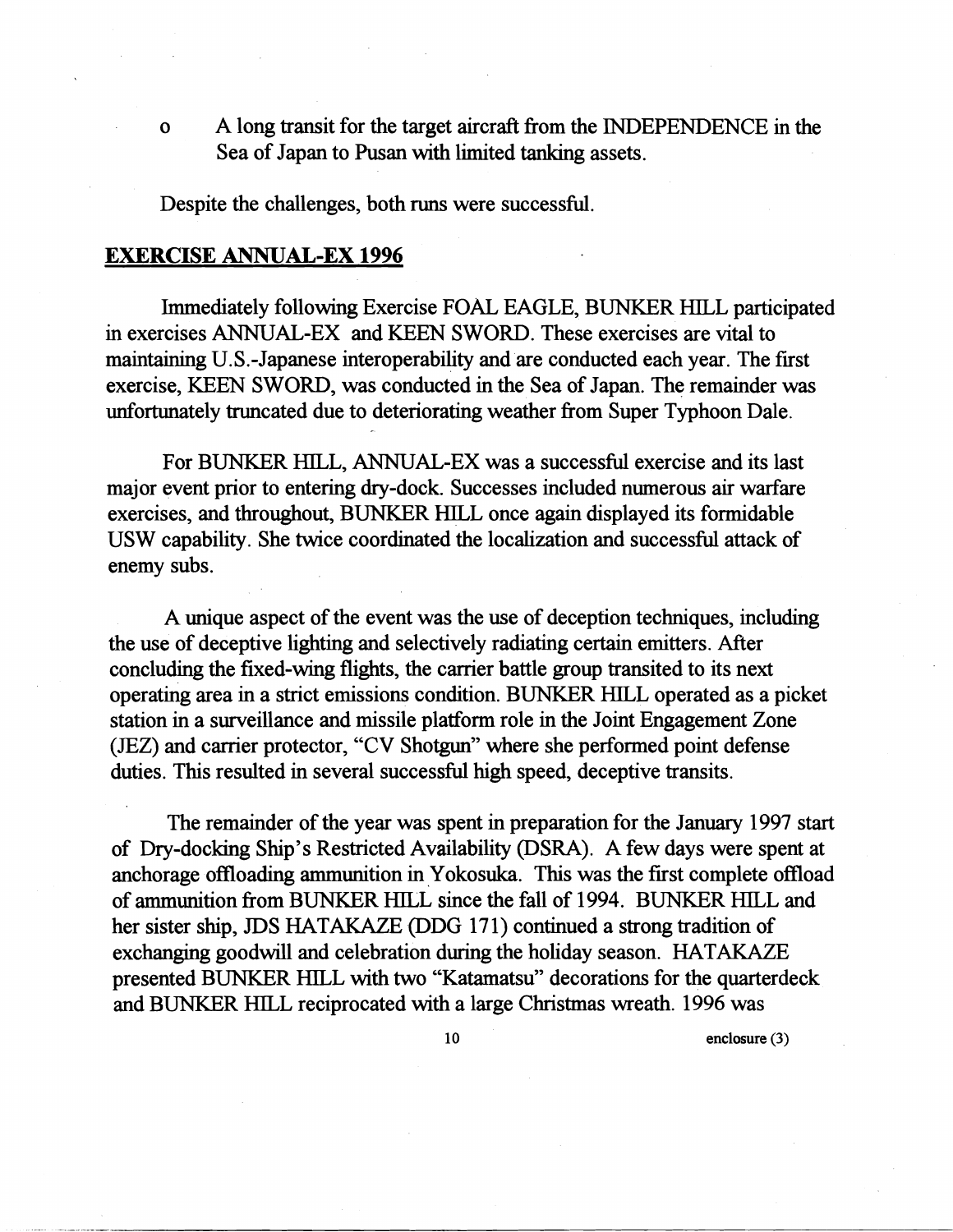o A long transit for the target aircraft from the INDEPENDENCE in the Sea of Japan to Pusan with limited tanking assets.

Despite the challenges, both runs were successful.

#### **EXERCISE ANNUAL-EX 1996**

Immediately following Exercise FOAL EAGLE, BUNKER HILL participated in exercises ANNUAL-EX and KEEN SWORD. These exercises are vital to maintaining U.S.-Japanese interoperability and are conducted each year. The first exercise, KEEN SWORD, was conducted in the Sea of Japan. The remainder was unfortunately truncated due to deteriorating weather from Super Typhoon Dale.

For BUNKER HILL, ANNUAL-EX was a successful exercise and its last major event prior to entering dry-dock. Successes included numerous air warfare exercises, and throughout, BUNKER HILL once again displayed its formidable USW capability. She twice coordmated the localization and successful attack of enemy subs.

A unique aspect of the event was the use of deception techruques, includmg the use of deceptive lighting and selectively radiating certain emitters. After concludmg the fixed-wing flights, the carrier battle group transited to its next operating area in a strict emissions condition. BUNKER HILL operated as a picket station in a surveillance and missile platform role in the Joint Engagement Zone (JEZ) and carrier protector, "CV Shotgun" where she performed point defense duties. This resulted in several successful high speed, deceptive transits.

The remainder of the year was spent in preparation for the January 1997 start of Dry-docking Ship's Restricted Availability (DSRA). A few days were spent at anchorage offloadmg ammunition in Yokosuka. This was the first complete offload of munition from BUNKER HILL since the fall of 1994. BUNKER HILL and her sister ship, JDS HATAKAZE *@DG* 171) continued a strong tradition of exchanging goodwill and celebration during the holiday season. HATAKAZE presented BUNKER HILL with two "Katamatsu" decorations for the quarterdeck and BUNKER HILL reciprocated with a large Christmas wreath. 1996 was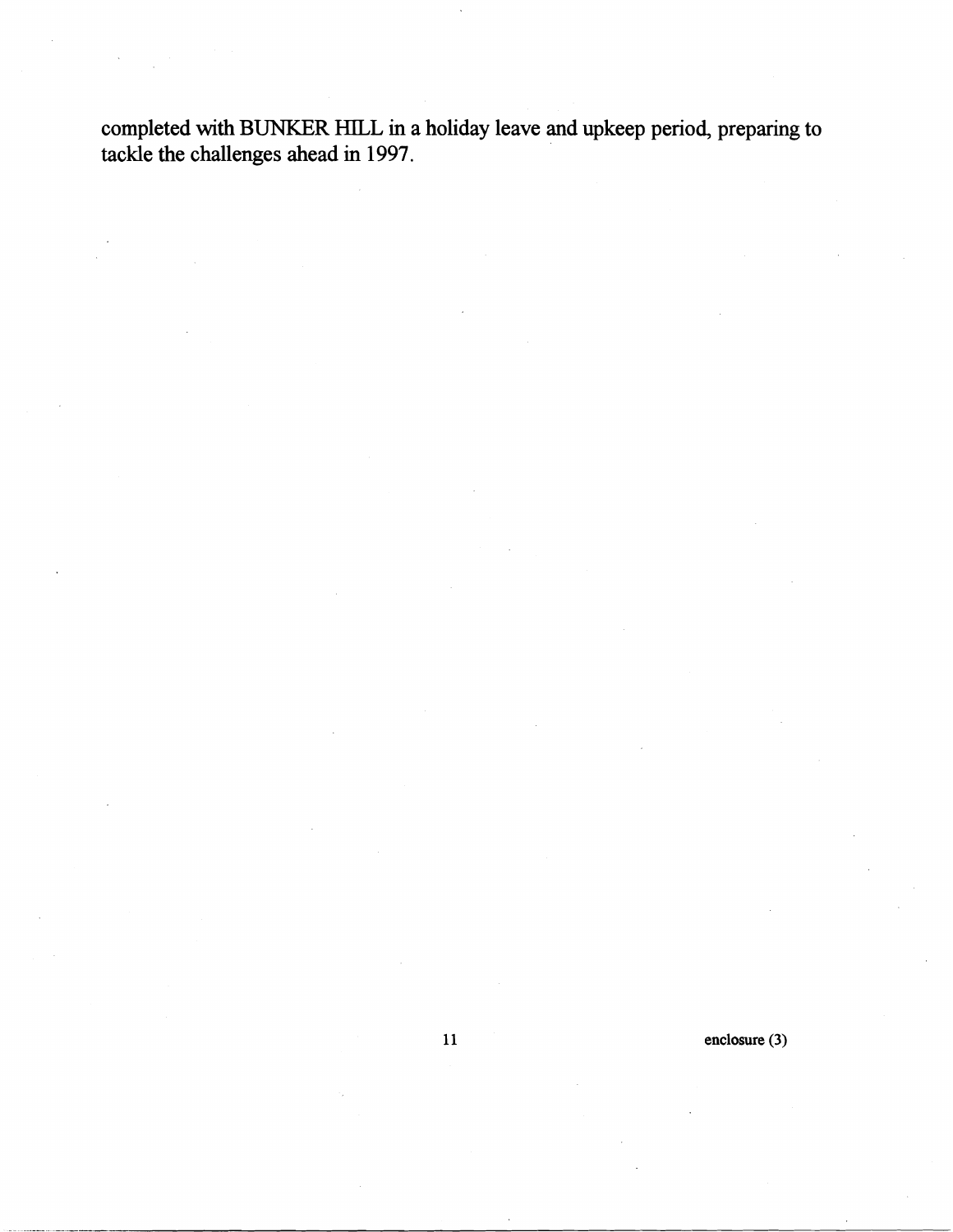**completed with BUNKER** HILL **in a holiday leave and upkeep period, preparing to tackle the challenges ahead in 1997.** 

**enclosure (3)** 

 $11$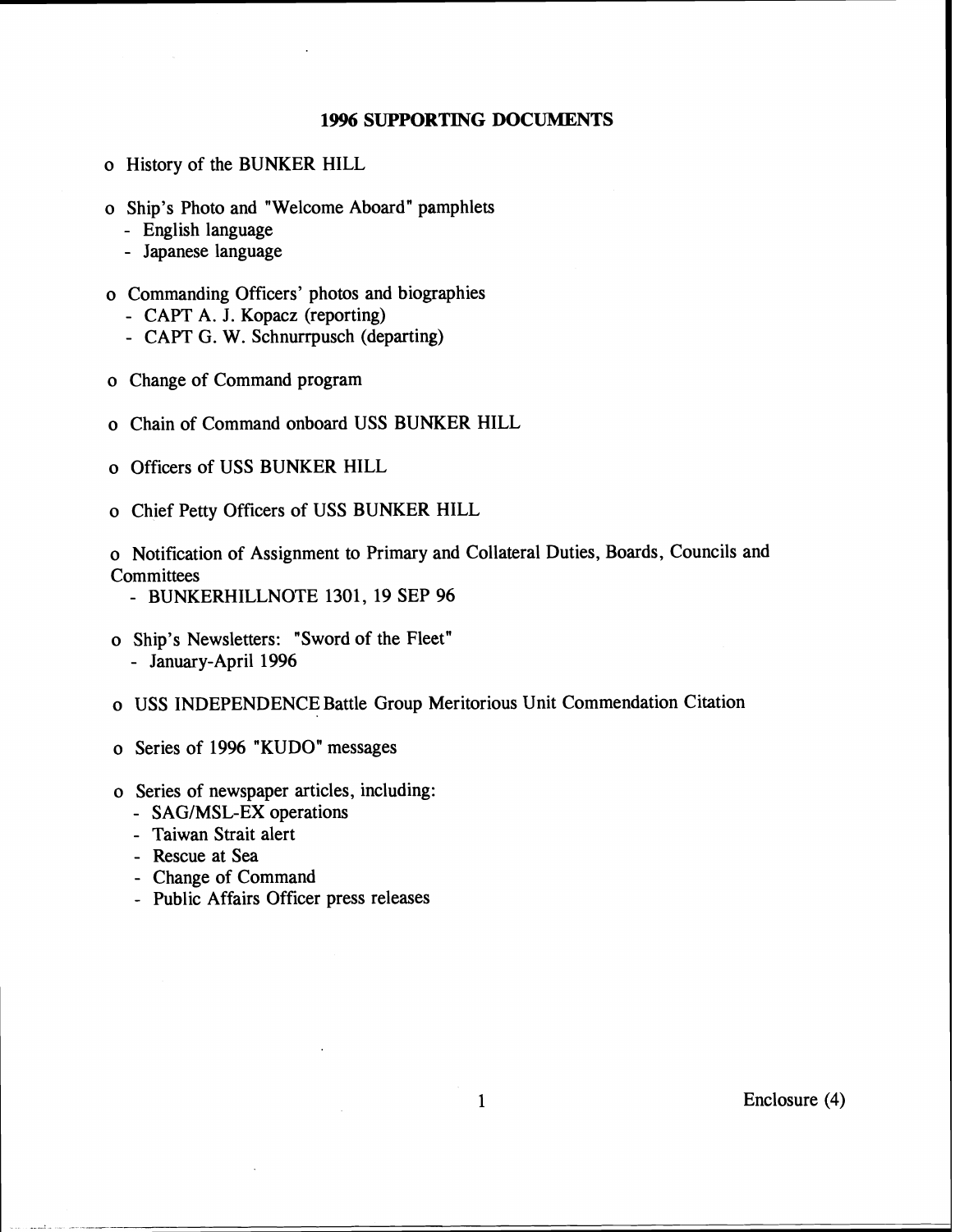#### **1996 SUPPORTING DOCUMENTS**

- o History of the BUNKER HILL
- o Ship's Photo and "Welcome Aboard" pamphlets
	- English language
	- Japanese language
- o Commanding Officers' photos and biographies
	- CAPT A. J. Kopacz (reporting)
	- CAPT G. W. Schnurrpusch (departing)
- o Change of Command program
- o Chain of Command onboard USS BUNKER HILL
- o Officers of USS BUNKER HILL
- o Chief Petty Officers of USS BUNKER HILL
- o Notification of Assignment to Primary and Collateral Duties, Boards, Councils and **Committees** 
	- BUNKERHILLNOTE **1301, 19** SEP **96**
- o Ship's Newsletters: "Sword of the Fleet" - January-April **1996**
- o USS INDEPENDENCE Battle Group Meritorious Unit Commendation Citation
- o Series of **1996** "KUDO" messages
- o Series of newspaper articles, including:
	- SAG/MSL-EX operations
	- Taiwan Strait alert
	- Rescue at Sea
	-
	- Change of Command Public Affairs Officer press releases

Enclosure (4)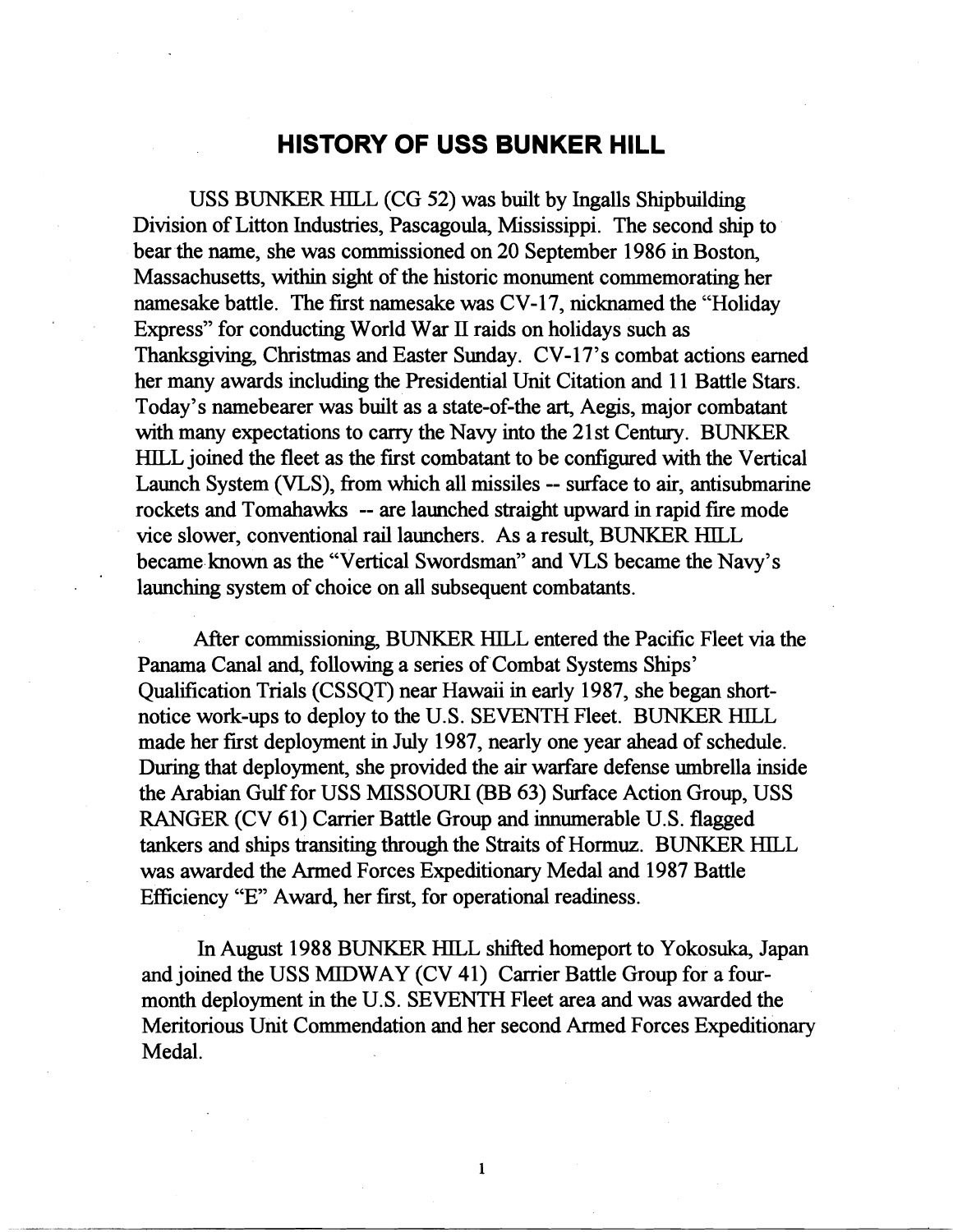## **HISTORY OF USS BUNKER HlLL**

USS BUNKER HILL (CG 52) was built by Ingalls Shipbuilding Division of Litton Industries, Pascagoula, Mississippi. The second ship to bear the name, she was commissioned on 20 September 1986 in Boston, Massachusetts, within sight of the historic monument commemorating her namesake battle. The first namesake was CV-17, nicknamed the "Holiday Express" for conducting World War **11** raids on holidays such as Thanksgiving, Christmas and Easter Sunday. CV-17's combat actions earned her many awards including the Presidential Unit Citation and 11 Battle Stars. Today's namebearer was built as a state-of-the art, Aegis, major combatant with many expectations to carry the Navy into the 21st Century. BUNKER HILL joined the fleet as the frst combatant to be configured with the Vertical Launch System (VLS), fiom which all missiles -- swface to air, antisubmarine rockets and Tomahawks -- are launched straight upward in rapid fre mode vice slower, conventional rail launchers. As a result, BUNKER HILL became known as the "Vertical Swordsman" and VLS became the Navy's launching system of choice on all subsequent combatants.

After commissioning, BUNKER HILL entered the Pacrfic Fleet via the Panama Canal and, following a series of Combat Systems Ships' Qualification Trials (CSSQT) near Hawaii in early 1987, she began shortnotice work-ups to deploy to the U.S. SEVENTH Fleet. BUNKER HILL made her first deployment in July 1987, nearly one year ahead of schedule. During that deployment, she provided the air warfare defense umbrella inside the Arabian Gulf for USS MISSOURI (BB 63) Swface Action Group, USS RANGER (CV 61) Carrier Battle Group and innumerable U.S. flagged tankers and ships transiting through the Straits of Hormuz. BUNKER HILL was awarded the Armed Forces Expeditionary Medal and 1987 Battle Efficiency "E" Award, her first, for operational readiness.

In August 1988 BUNKER HILL shifted homeport to Yokosuka, Japan and joined the USS MIDWAY (CV 41) Carrier Battle Group for a fourmonth deployment in the U.S. SEVENTH Fleet area and was awarded the Meritorious Unit Commendation and her second Armed Forces Expeditionary Medal.

 $\mathbf{1}$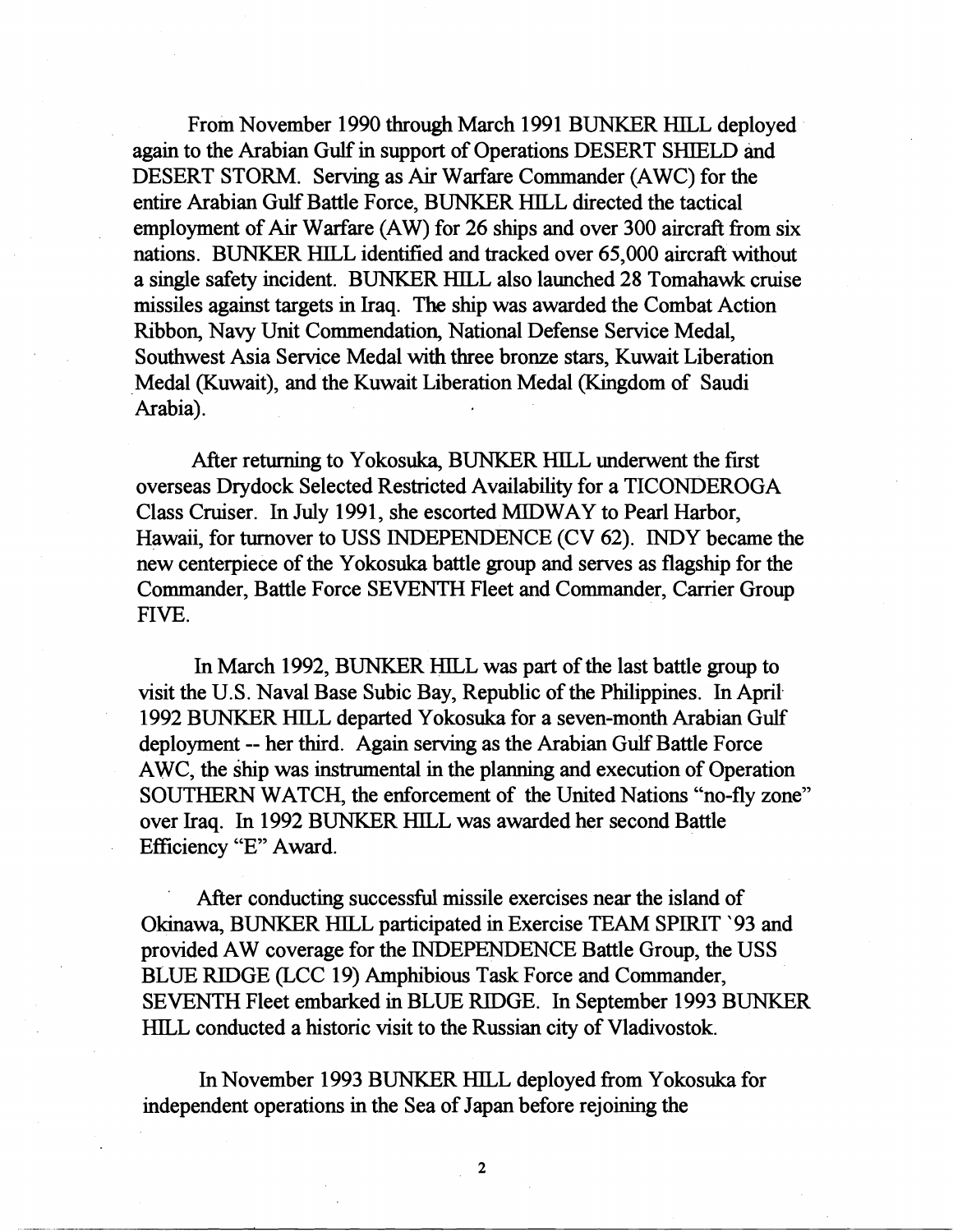From November 1990 through March 1991 BUNKER HILL deployed again to the Arabian Gulf in support of Operations DESERT SHIELD and DESERT STORM. Serving as Air Warfare Commander (AWC) for the entire Arabian Gulf Battle Force, BUNKER HILL directed the tactical employment of Air Warfare (AW) for 26 ships and over 300 aircraft from six nations. BUNKER HILL identified and tracked over 65,000 aircraft without a single safety incident. BUNKER HILL also launched 28 Tomahawk cruise missiles against targets in Iraq. The ship was awarded the Combat Action Ribbon, Navy Unit Commendation, National Defense Service Medal, Southwest Asia Service Medal with three bronze stars, Kuwait Liberation Medal (Kuwait), and the Kuwait Liberation Medal (Kingdom of Saudi Arabia).

After returning to Yokosuka, BUNKER HILL underwent the first overseas Drydock Selected Restricted Availability for a TICONDEROGA Class Cruiser. In July 1991, she escorted MIDWAY to Pearl Harbor, Hawaii, for turnover to USS INDEPENDENCE (CV 62). INDY became the new centerpiece of the Yokosuka battle group and serves as flagship for the Commander, Battle Force SEVENTH Fleet and Commander, Carrier Group FIVE.

In March 1992, BUNKER HILL was part of the last battle group to visit the U.S. Naval Base Subic Bay, Republic of the Philippines. In April. 1992 BUNKER HILL departed Yokosuka for a seven-month Arabian Gulf deployment -- her third. Again serving as the Arabian Gulf Battle Force AWC, the ship was instrumental in the planning and execution of Operation SOUTHERN WATCH, the enforcement of the United Nations "no-fly zone" over Iraq. In 1992 BUNKER HILL was awarded her second Battle Efficiency "E" Award.

After conducting successful missile exercises near the island of Okinawa, BUNKER HILL participated in Exercise TEAM SPlRIT ' 93 and provided AW coverage for the INDEPENDENCE Battle Group, the USS BLUE RIDGE (LCC 19) Amphibious Task Force and Commander, SEVENTH Fleet embarked in BLUE RIDGE. In September 1993 BUNKER HlLL conducted a historic visit to the Russian city of Vladivostok.

In November 1993 BUNKER HILL deployed from Yokosuka for independent operations in the Sea of Japan before rejoining the

 $\overline{2}$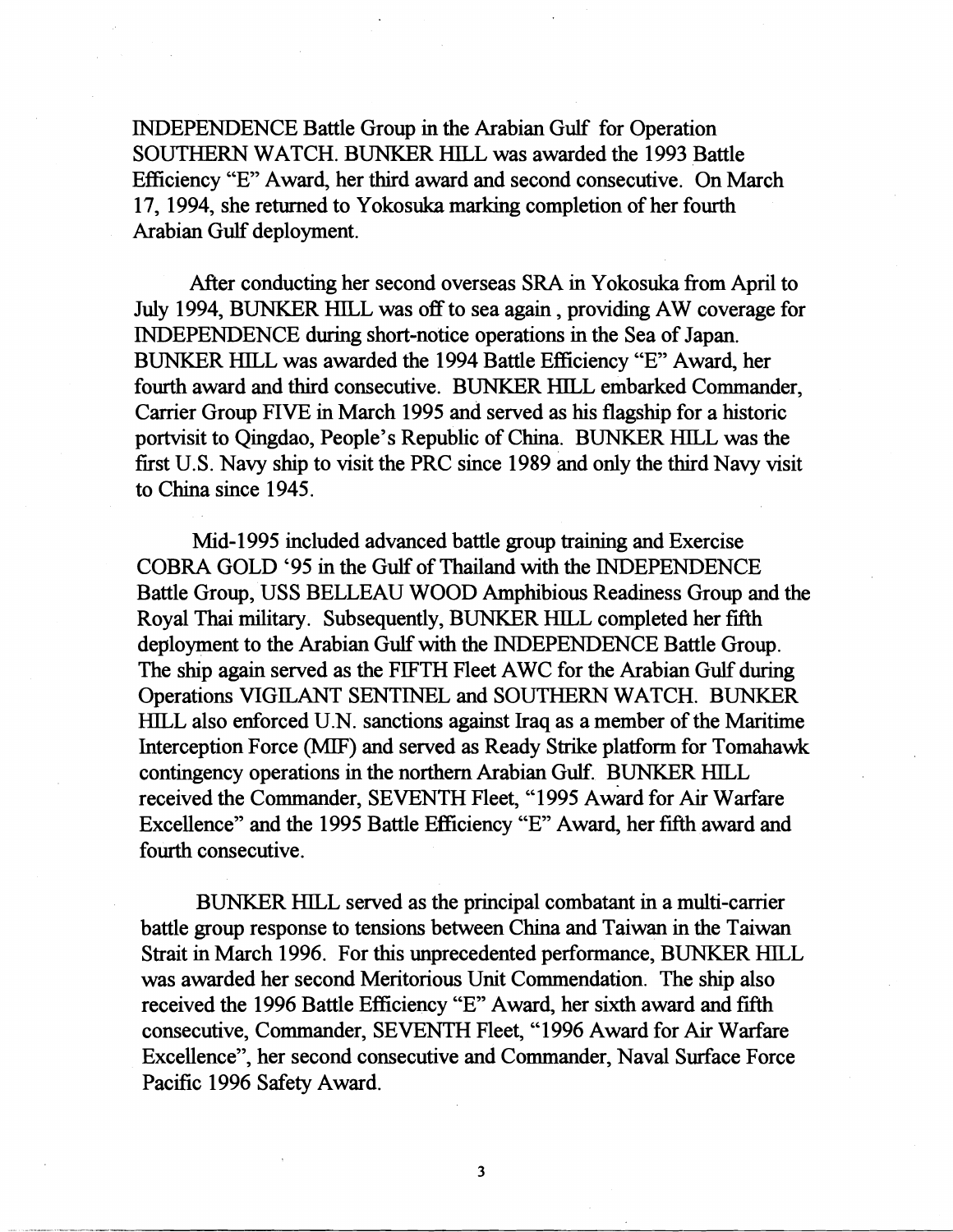INDEPENDENCE Battle Group in the Arabian Gulf for Operation SOUTHERN WATCH. BUNKER HILL was awarded the 1993 Battle Eficiency "E" Award, her third award and second consecutive. On March 17, 1994, she returned to Yokosuka marking completion of her fourth Arabian Gulf deployment.

After conducting her second overseas SRA in Yokosuka fiom April to July 1994, BUNKER HILL was off to sea again , providing AW coverage for INDEPENDENCE during short-notice operations in the Sea of Japan. BUNKER HILL was awarded the 1994 Battle Efficiency "E" Award, her fourth award and third consecutive. BUNKER HILL embarked Commander, Carrier Group FIVE in March 1995 and served as his flagship for a historic portvisit to Qingdao, People's Republic of China. BUNKER HILL was the first U.S. Navy ship to visit the PRC since 1989 and only the hrd Navy visit to China since 1945.

Mid-1 995 included advanced battle group training and Exercise COBRA GOLD '95 in the Gulf of Thailand with the INDEPENDENCE Battle Group, USS BELLEAU WOOD Amphbious Readiness Group and the Royal Thai military. Subsequently, BUNKER HILL completed her fifth deployment to the Arabian Gulf with the INDEPENDENCE Battle Group. The ship again served as the FIFTH Fleet AWC for the Arabian Gulf during Operations VIGILANT SENTINEL and SOUTHERN WATCH. BUNKER HILL also enforced U.N. sanctions against Iraq as a member of the Maritime Interception Force **(MIF)** and served as Ready Strike platform for Tomahawk contingency operations in the northern Arabian Gulf. BUNKER HILL received the Commander, SEVENTH Fleet, "1995 Award for Air Warfare Excellence" and the 1995 Battle Efficiency "E" Award, her fifth award and fourth consecutive.

BUNKER HILL served as the principal combatant in a multi-carrier battle group response to tensions between China and Taiwan in the Taiwan Strait in March 1996. For this unprecedented performance, BUNKER HILL was awarded her second Meritorious Unit Commendation. The ship also received the 1996 Battle Efficiency "E" Award, her sixth award and fifth consecutive, Commander, SEVENTH Fleet, " 1 996 Award for Air Warfare Excellence", her second consecutive and Commander, Naval Surface Force Pacific 1996 Safety Award.

3